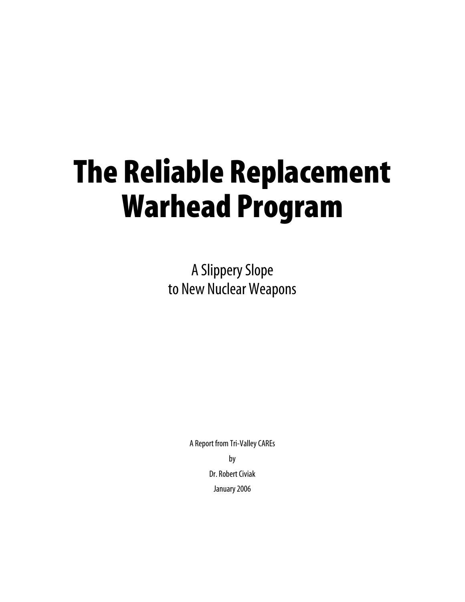# The Reliable Replacement Warhead Program

A Slippery Slope to New Nuclear Weapons

> A Report from Tri-Valley CAREs by Dr. Robert Civiak January 2006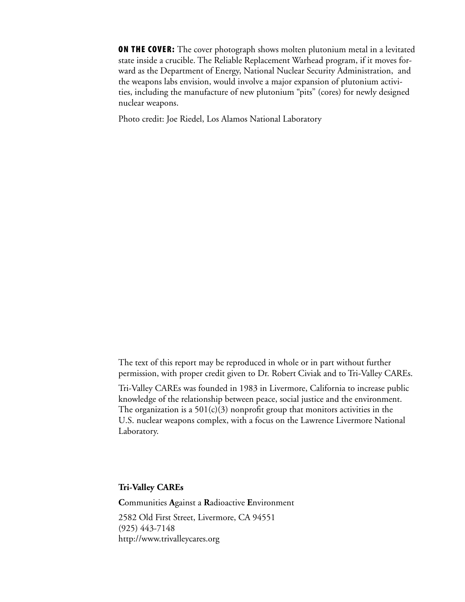**ON THE COVER:** The cover photograph shows molten plutonium metal in a levitated state inside a crucible. The Reliable Replacement Warhead program, if it moves forward as the Department of Energy, National Nuclear Security Administration, and the weapons labs envision, would involve a major expansion of plutonium activities, including the manufacture of new plutonium "pits" (cores) for newly designed nuclear weapons.

Photo credit: Joe Riedel, Los Alamos National Laboratory

The text of this report may be reproduced in whole or in part without further permission, with proper credit given to Dr. Robert Civiak and to Tri-Valley CAREs.

Tri-Valley CAREs was founded in 1983 in Livermore, California to increase public knowledge of the relationship between peace, social justice and the environment. The organization is a  $501(c)(3)$  nonprofit group that monitors activities in the U.S. nuclear weapons complex, with a focus on the Lawrence Livermore National Laboratory.

**Tri-Valley CAREs**

**C**ommunities **A**gainst a **R**adioactive **E**nvironment

2582 Old First Street, Livermore, CA 94551 (925) 443-7148 http://www.trivalleycares.org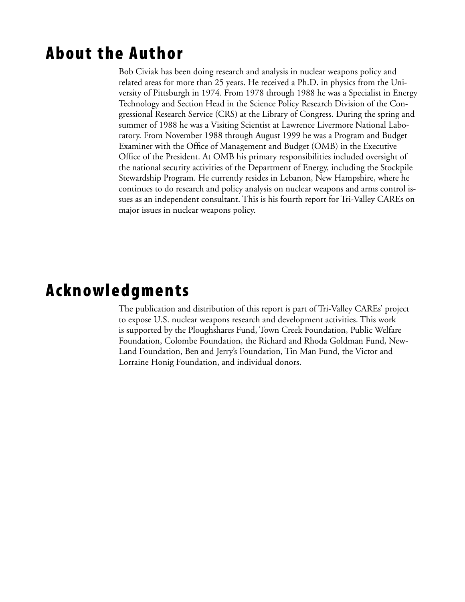### **About the Author**

Bob Civiak has been doing research and analysis in nuclear weapons policy and related areas for more than 25 years. He received a Ph.D. in physics from the University of Pittsburgh in 1974. From 1978 through 1988 he was a Specialist in Energy Technology and Section Head in the Science Policy Research Division of the Congressional Research Service (CRS) at the Library of Congress. During the spring and summer of 1988 he was a Visiting Scientist at Lawrence Livermore National Laboratory. From November 1988 through August 1999 he was a Program and Budget Examiner with the Office of Management and Budget (OMB) in the Executive Office of the President. At OMB his primary responsibilities included oversight of the national security activities of the Department of Energy, including the Stockpile Stewardship Program. He currently resides in Lebanon, New Hampshire, where he continues to do research and policy analysis on nuclear weapons and arms control issues as an independent consultant. This is his fourth report for Tri-Valley CAREs on major issues in nuclear weapons policy.

### **Acknowledgments**

The publication and distribution of this report is part of Tri-Valley CAREs' project to expose U.S. nuclear weapons research and development activities. This work is supported by the Ploughshares Fund, Town Creek Foundation, Public Welfare Foundation, Colombe Foundation, the Richard and Rhoda Goldman Fund, New-Land Foundation, Ben and Jerry's Foundation, Tin Man Fund, the Victor and Lorraine Honig Foundation, and individual donors.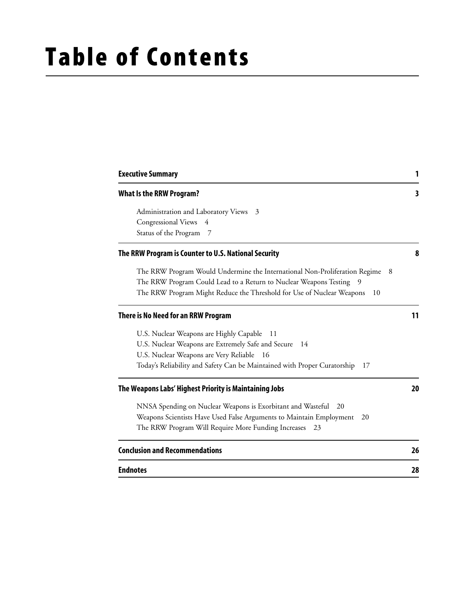### **Table of Contents**

|                                     | <b>Executive Summary</b>                                                        |    |
|-------------------------------------|---------------------------------------------------------------------------------|----|
| <b>What Is the RRW Program?</b>     |                                                                                 | 3  |
|                                     | Administration and Laboratory Views 3                                           |    |
|                                     | Congressional Views 4                                                           |    |
|                                     | Status of the Program 7                                                         |    |
|                                     | The RRW Program is Counter to U.S. National Security                            | 8  |
|                                     | The RRW Program Would Undermine the International Non-Proliferation Regime 8    |    |
|                                     | The RRW Program Could Lead to a Return to Nuclear Weapons Testing 9             |    |
|                                     | The RRW Program Might Reduce the Threshold for Use of Nuclear Weapons<br>10     |    |
| There is No Need for an RRW Program |                                                                                 | 11 |
|                                     | U.S. Nuclear Weapons are Highly Capable<br>-11                                  |    |
|                                     | U.S. Nuclear Weapons are Extremely Safe and Secure 14                           |    |
|                                     | U.S. Nuclear Weapons are Very Reliable<br>- 16                                  |    |
|                                     | Today's Reliability and Safety Can be Maintained with Proper Curatorship<br>-17 |    |
|                                     | The Weapons Labs' Highest Priority is Maintaining Jobs                          | 20 |
|                                     | NNSA Spending on Nuclear Weapons is Exorbitant and Wasteful 20                  |    |
|                                     | Weapons Scientists Have Used False Arguments to Maintain Employment 20          |    |
|                                     | The RRW Program Will Require More Funding Increases 23                          |    |
|                                     | <b>Conclusion and Recommendations</b>                                           | 26 |
|                                     | <b>Endnotes</b>                                                                 | 28 |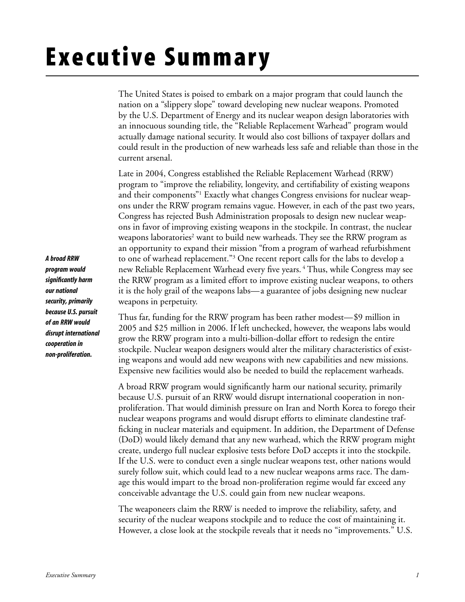## Executive Summary

The United States is poised to embark on a major program that could launch the nation on a "slippery slope" toward developing new nuclear weapons. Promoted by the U.S. Department of Energy and its nuclear weapon design laboratories with an innocuous sounding title, the "Reliable Replacement Warhead" program would actually damage national security. It would also cost billions of taxpayer dollars and could result in the production of new warheads less safe and reliable than those in the current arsenal.

Late in 2004, Congress established the Reliable Replacement Warhead (RRW) program to "improve the reliability, longevity, and certifiability of existing weapons and their components"1 Exactly what changes Congress envisions for nuclear weapons under the RRW program remains vague. However, in each of the past two years, Congress has rejected Bush Administration proposals to design new nuclear weapons in favor of improving existing weapons in the stockpile. In contrast, the nuclear weapons laboratories<sup>2</sup> want to build new warheads. They see the RRW program as an opportunity to expand their mission "from a program of warhead refurbishment to one of warhead replacement."3 One recent report calls for the labs to develop a new Reliable Replacement Warhead every five years.<sup>4</sup> Thus, while Congress may see the RRW program as a limited effort to improve existing nuclear weapons, to others it is the holy grail of the weapons labs—a guarantee of jobs designing new nuclear weapons in perpetuity.

Thus far, funding for the RRW program has been rather modest—\$9 million in 2005 and \$25 million in 2006. If left unchecked, however, the weapons labs would grow the RRW program into a multi-billion-dollar effort to redesign the entire stockpile. Nuclear weapon designers would alter the military characteristics of existing weapons and would add new weapons with new capabilities and new missions. Expensive new facilities would also be needed to build the replacement warheads.

A broad RRW program would significantly harm our national security, primarily because U.S. pursuit of an RRW would disrupt international cooperation in nonproliferation. That would diminish pressure on Iran and North Korea to forego their nuclear weapons programs and would disrupt efforts to eliminate clandestine trafficking in nuclear materials and equipment. In addition, the Department of Defense (DoD) would likely demand that any new warhead, which the RRW program might create, undergo full nuclear explosive tests before DoD accepts it into the stockpile. If the U.S. were to conduct even a single nuclear weapons test, other nations would surely follow suit, which could lead to a new nuclear weapons arms race. The damage this would impart to the broad non-proliferation regime would far exceed any conceivable advantage the U.S. could gain from new nuclear weapons.

The weaponeers claim the RRW is needed to improve the reliability, safety, and security of the nuclear weapons stockpile and to reduce the cost of maintaining it. However, a close look at the stockpile reveals that it needs no "improvements." U.S.

*A broad RRW program would significantly harm our national security, primarily because U.S. pursuit of an RRW would disrupt international cooperation in non-proliferation.*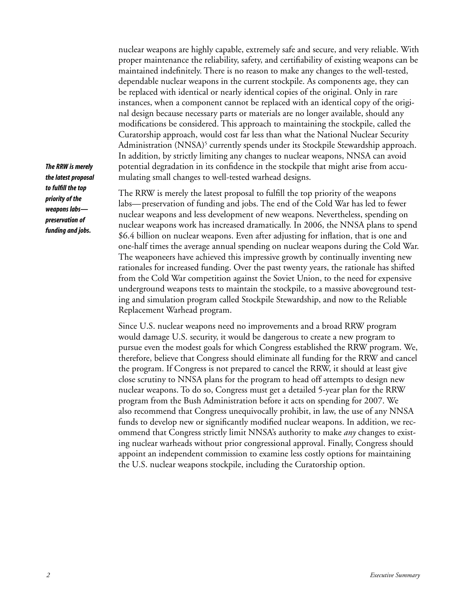nuclear weapons are highly capable, extremely safe and secure, and very reliable. With proper maintenance the reliability, safety, and certifiability of existing weapons can be maintained indefinitely. There is no reason to make any changes to the well-tested, dependable nuclear weapons in the current stockpile. As components age, they can be replaced with identical or nearly identical copies of the original. Only in rare instances, when a component cannot be replaced with an identical copy of the original design because necessary parts or materials are no longer available, should any modifications be considered. This approach to maintaining the stockpile, called the Curatorship approach, would cost far less than what the National Nuclear Security Administration (NNSA)<sup>5</sup> currently spends under its Stockpile Stewardship approach. In addition, by strictly limiting any changes to nuclear weapons, NNSA can avoid potential degradation in its confidence in the stockpile that might arise from accumulating small changes to well-tested warhead designs.

The RRW is merely the latest proposal to fulfill the top priority of the weapons labs—preservation of funding and jobs. The end of the Cold War has led to fewer nuclear weapons and less development of new weapons. Nevertheless, spending on nuclear weapons work has increased dramatically. In 2006, the NNSA plans to spend \$6.4 billion on nuclear weapons. Even after adjusting for inflation, that is one and one-half times the average annual spending on nuclear weapons during the Cold War. The weaponeers have achieved this impressive growth by continually inventing new rationales for increased funding. Over the past twenty years, the rationale has shifted from the Cold War competition against the Soviet Union, to the need for expensive underground weapons tests to maintain the stockpile, to a massive aboveground testing and simulation program called Stockpile Stewardship, and now to the Reliable Replacement Warhead program.

Since U.S. nuclear weapons need no improvements and a broad RRW program would damage U.S. security, it would be dangerous to create a new program to pursue even the modest goals for which Congress established the RRW program. We, therefore, believe that Congress should eliminate all funding for the RRW and cancel the program. If Congress is not prepared to cancel the RRW, it should at least give close scrutiny to NNSA plans for the program to head off attempts to design new nuclear weapons. To do so, Congress must get a detailed 5-year plan for the RRW program from the Bush Administration before it acts on spending for 2007. We also recommend that Congress unequivocally prohibit, in law, the use of any NNSA funds to develop new or significantly modified nuclear weapons. In addition, we recommend that Congress strictly limit NNSA's authority to make *any* changes to existing nuclear warheads without prior congressional approval. Finally, Congress should appoint an independent commission to examine less costly options for maintaining the U.S. nuclear weapons stockpile, including the Curatorship option.

*The RRW is merely the latest proposal to fulfill the top priority of the weapons labs preservation of funding and jobs.*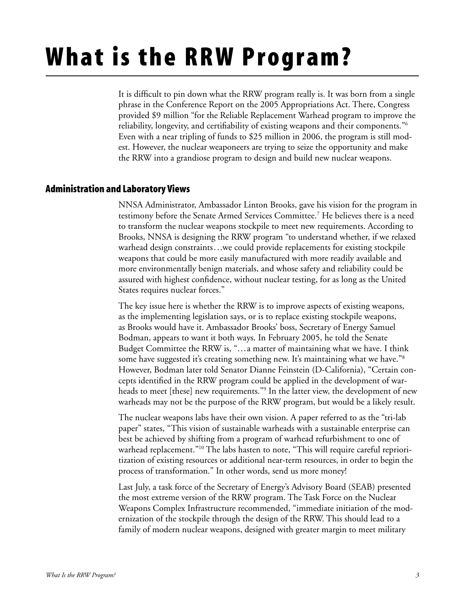## **What is the RRW Program?**

It is difficult to pin down what the RRW program really is. It was born from a single phrase in the Conference Report on the 2005 Appropriations Act. There, Congress provided \$9 million "for the Reliable Replacement Warhead program to improve the reliability, longevity, and certifiability of existing weapons and their components."6 Even with a near tripling of funds to \$25 million in 2006, the program is still modest. However, the nuclear weaponeers are trying to seize the opportunity and make the RRW into a grandiose program to design and build new nuclear weapons.

### Administration and Laboratory Views

NNSA Administrator, Ambassador Linton Brooks, gave his vision for the program in testimony before the Senate Armed Services Committee.7 He believes there is a need to transform the nuclear weapons stockpile to meet new requirements. According to Brooks, NNSA is designing the RRW program "to understand whether, if we relaxed warhead design constraints. . .we could provide replacements for existing stockpile weapons that could be more easily manufactured with more readily available and more environmentally benign materials, and whose safety and reliability could be assured with highest confidence, without nuclear testing, for as long as the United States requires nuclear forces."

The key issue here is whether the RRW is to improve aspects of existing weapons, as the implementing legislation says, or is to replace existing stockpile weapons, as Brooks would have it. Ambassador Brooks' boss, Secretary of Energy Samuel Bodman, appears to want it both ways. In February 2005, he told the Senate Budget Committee the RRW is, "...a matter of maintaining what we have. I think some have suggested it's creating something new. It's maintaining what we have."<sup>8</sup> However, Bodman later told Senator Dianne Feinstein (D-California), "Certain concepts identified in the RRW program could be applied in the development of warheads to meet [these] new requirements."9 In the latter view, the development of new warheads may not be the purpose of the RRW program, but would be a likely result.

The nuclear weapons labs have their own vision. A paper referred to as the "tri-lab paper" states, "This vision of sustainable warheads with a sustainable enterprise can best be achieved by shifting from a program of warhead refurbishment to one of warhead replacement."10 The labs hasten to note, "This will require careful reprioritization of existing resources or additional near-term resources, in order to begin the process of transformation." In other words, send us more money!

Last July, a task force of the Secretary of Energy's Advisory Board (SEAB) presented the most extreme version of the RRW program. The Task Force on the Nuclear Weapons Complex Infrastructure recommended, "immediate initiation of the modernization of the stockpile through the design of the RRW. This should lead to a family of modern nuclear weapons, designed with greater margin to meet military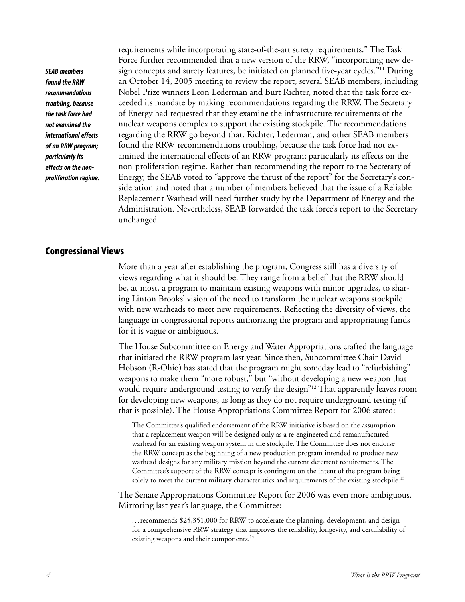*SEAB members found the RRW recommendations troubling, because the task force had not examined the international effects of an RRW program; particularly its effects on the nonproliferation regime.*

requirements while incorporating state-of-the-art surety requirements." The Task Force further recommended that a new version of the RRW, "incorporating new design concepts and surety features, be initiated on planned five-year cycles."11 During an October 14, 2005 meeting to review the report, several SEAB members, including Nobel Prize winners Leon Lederman and Burt Richter, noted that the task force exceeded its mandate by making recommendations regarding the RRW. The Secretary of Energy had requested that they examine the infrastructure requirements of the nuclear weapons complex to support the existing stockpile. The recommendations regarding the RRW go beyond that. Richter, Lederman, and other SEAB members found the RRW recommendations troubling, because the task force had not examined the international effects of an RRW program; particularly its effects on the non-proliferation regime. Rather than recommending the report to the Secretary of Energy, the SEAB voted to "approve the thrust of the report" for the Secretary's consideration and noted that a number of members believed that the issue of a Reliable Replacement Warhead will need further study by the Department of Energy and the Administration. Nevertheless, SEAB forwarded the task force's report to the Secretary unchanged.

### Congressional Views

More than a year after establishing the program, Congress still has a diversity of views regarding what it should be. They range from a belief that the RRW should be, at most, a program to maintain existing weapons with minor upgrades, to sharing Linton Brooks' vision of the need to transform the nuclear weapons stockpile with new warheads to meet new requirements. Reflecting the diversity of views, the language in congressional reports authorizing the program and appropriating funds for it is vague or ambiguous.

The House Subcommittee on Energy and Water Appropriations crafted the language that initiated the RRW program last year. Since then, Subcommittee Chair David Hobson (R-Ohio) has stated that the program might someday lead to "refurbishing" weapons to make them "more robust," but "without developing a new weapon that would require underground testing to verify the design"12 That apparently leaves room for developing new weapons, as long as they do not require underground testing (if that is possible). The House Appropriations Committee Report for 2006 stated:

The Committee's qualified endorsement of the RRW initiative is based on the assumption that a replacement weapon will be designed only as a re-engineered and remanufactured warhead for an existing weapon system in the stockpile. The Committee does not endorse the RRW concept as the beginning of a new production program intended to produce new warhead designs for any military mission beyond the current deterrent requirements. The Committee's support of the RRW concept is contingent on the intent of the program being solely to meet the current military characteristics and requirements of the existing stockpile.<sup>13</sup>

The Senate Appropriations Committee Report for 2006 was even more ambiguous. Mirroring last year's language, the Committee:

. . . recommends \$25,351,000 for RRW to accelerate the planning, development, and design for a comprehensive RRW strategy that improves the reliability, longevity, and certifiability of existing weapons and their components.<sup>14</sup>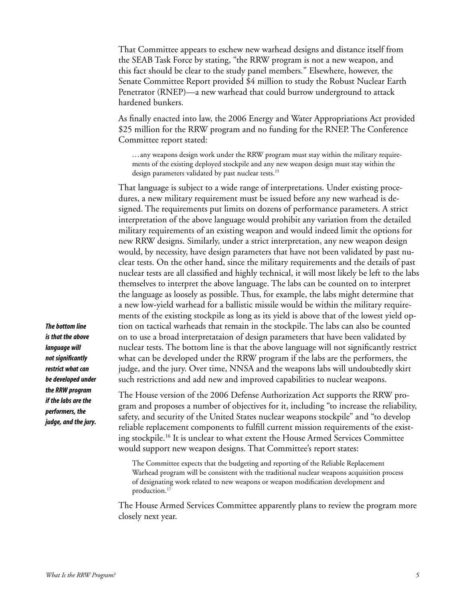That Committee appears to eschew new warhead designs and distance itself from the SEAB Task Force by stating, "the RRW program is not a new weapon, and this fact should be clear to the study panel members." Elsewhere, however, the Senate Committee Report provided \$4 million to study the Robust Nuclear Earth Penetrator (RNEP)—a new warhead that could burrow underground to attack hardened bunkers.

As finally enacted into law, the 2006 Energy and Water Appropriations Act provided \$25 million for the RRW program and no funding for the RNEP. The Conference Committee report stated:

. . . any weapons design work under the RRW program must stay within the military requirements of the existing deployed stockpile and any new weapon design must stay within the design parameters validated by past nuclear tests.<sup>15</sup>

That language is subject to a wide range of interpretations. Under existing procedures, a new military requirement must be issued before any new warhead is designed. The requirements put limits on dozens of performance parameters. A strict interpretation of the above language would prohibit any variation from the detailed military requirements of an existing weapon and would indeed limit the options for new RRW designs. Similarly, under a strict interpretation, any new weapon design would, by necessity, have design parameters that have not been validated by past nuclear tests. On the other hand, since the military requirements and the details of past nuclear tests are all classified and highly technical, it will most likely be left to the labs themselves to interpret the above language. The labs can be counted on to interpret the language as loosely as possible. Thus, for example, the labs might determine that a new low-yield warhead for a ballistic missile would be within the military requirements of the existing stockpile as long as its yield is above that of the lowest yield option on tactical warheads that remain in the stockpile. The labs can also be counted on to use a broad interpretataion of design parameters that have been validated by nuclear tests. The bottom line is that the above language will not significantly restrict what can be developed under the RRW program if the labs are the performers, the judge, and the jury. Over time, NNSA and the weapons labs will undoubtedly skirt such restrictions and add new and improved capabilities to nuclear weapons.

The House version of the 2006 Defense Authorization Act supports the RRW program and proposes a number of objectives for it, including "to increase the reliability, safety, and security of the United States nuclear weapons stockpile" and "to develop reliable replacement components to fulfill current mission requirements of the existing stockpile.16 It is unclear to what extent the House Armed Services Committee would support new weapon designs. That Committee's report states:

The Committee expects that the budgeting and reporting of the Reliable Replacement Warhead program will be consistent with the traditional nuclear weapons acquisition process of designating work related to new weapons or weapon modification development and production.<sup>17</sup>

The House Armed Services Committee apparently plans to review the program more closely next year.

*The bottom line is that the above language will not significantly restrict what can be developed under the RRW program if the labs are the performers, the judge, and the jury.*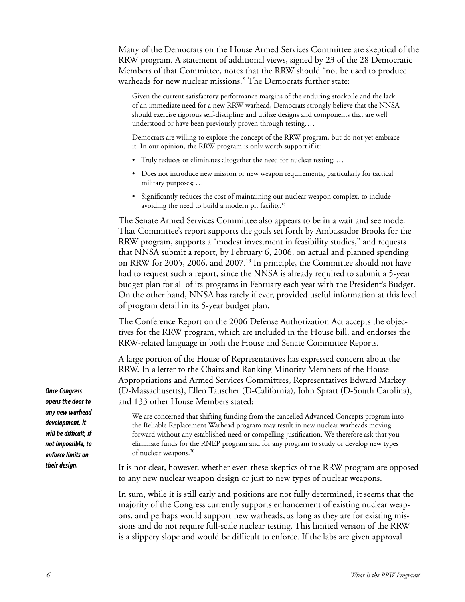Many of the Democrats on the House Armed Services Committee are skeptical of the RRW program. A statement of additional views, signed by 23 of the 28 Democratic Members of that Committee, notes that the RRW should "not be used to produce warheads for new nuclear missions." The Democrats further state:

Given the current satisfactory performance margins of the enduring stockpile and the lack of an immediate need for a new RRW warhead, Democrats strongly believe that the NNSA should exercise rigorous self-discipline and utilize designs and components that are well understood or have been previously proven through testing....

Democrats are willing to explore the concept of the RRW program, but do not yet embrace it. In our opinion, the RRW program is only worth support if it:

- Truly reduces or eliminates altogether the need for nuclear testing; . . .
- Does not introduce new mission or new weapon requirements, particularly for tactical military purposes; ...
- Significantly reduces the cost of maintaining our nuclear weapon complex, to include avoiding the need to build a modern pit facility.18

The Senate Armed Services Committee also appears to be in a wait and see mode. That Committee's report supports the goals set forth by Ambassador Brooks for the RRW program, supports a "modest investment in feasibility studies," and requests that NNSA submit a report, by February 6, 2006, on actual and planned spending on RRW for 2005, 2006, and 2007.19 In principle, the Committee should not have had to request such a report, since the NNSA is already required to submit a 5-year budget plan for all of its programs in February each year with the President's Budget. On the other hand, NNSA has rarely if ever, provided useful information at this level of program detail in its 5-year budget plan.

The Conference Report on the 2006 Defense Authorization Act accepts the objectives for the RRW program, which are included in the House bill, and endorses the RRW-related language in both the House and Senate Committee Reports.

A large portion of the House of Representatives has expressed concern about the RRW. In a letter to the Chairs and Ranking Minority Members of the House Appropriations and Armed Services Committees, Representatives Edward Markey (D-Massachusetts), Ellen Tauscher (D-California), John Spratt (D-South Carolina), and 133 other House Members stated:

We are concerned that shifting funding from the cancelled Advanced Concepts program into the Reliable Replacement Warhead program may result in new nuclear warheads moving forward without any established need or compelling justification. We therefore ask that you eliminate funds for the RNEP program and for any program to study or develop new types of nuclear weapons.20

It is not clear, however, whether even these skeptics of the RRW program are opposed to any new nuclear weapon design or just to new types of nuclear weapons.

In sum, while it is still early and positions are not fully determined, it seems that the majority of the Congress currently supports enhancement of existing nuclear weapons, and perhaps would support new warheads, as long as they are for existing missions and do not require full-scale nuclear testing. This limited version of the RRW is a slippery slope and would be difficult to enforce. If the labs are given approval

*Once Congress opens the door to any new warhead development, it will be difficult, if not impossible, to enforce limits on their design.*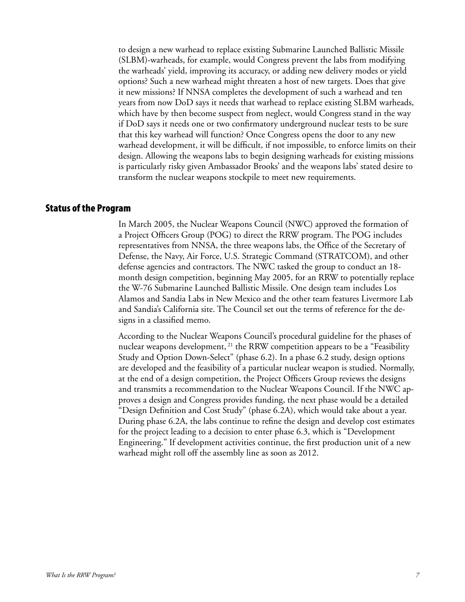to design a new warhead to replace existing Submarine Launched Ballistic Missile (SLBM)-warheads, for example, would Congress prevent the labs from modifying the warheads' yield, improving its accuracy, or adding new delivery modes or yield options? Such a new warhead might threaten a host of new targets. Does that give it new missions? If NNSA completes the development of such a warhead and ten years from now DoD says it needs that warhead to replace existing SLBM warheads, which have by then become suspect from neglect, would Congress stand in the way if DoD says it needs one or two confirmatory underground nuclear tests to be sure that this key warhead will function? Once Congress opens the door to any new warhead development, it will be difficult, if not impossible, to enforce limits on their design. Allowing the weapons labs to begin designing warheads for existing missions is particularly risky given Ambassador Brooks' and the weapons labs' stated desire to transform the nuclear weapons stockpile to meet new requirements.

#### Status of the Program

In March 2005, the Nuclear Weapons Council (NWC) approved the formation of a Project Officers Group (POG) to direct the RRW program. The POG includes representatives from NNSA, the three weapons labs, the Office of the Secretary of Defense, the Navy, Air Force, U.S. Strategic Command (STRATCOM), and other defense agencies and contractors. The NWC tasked the group to conduct an 18 month design competition, beginning May 2005, for an RRW to potentially replace the W-76 Submarine Launched Ballistic Missile. One design team includes Los Alamos and Sandia Labs in New Mexico and the other team features Livermore Lab and Sandia's California site. The Council set out the terms of reference for the designs in a classified memo.

According to the Nuclear Weapons Council's procedural guideline for the phases of nuclear weapons development,<sup>21</sup> the RRW competition appears to be a "Feasibility Study and Option Down-Select" (phase 6.2). In a phase 6.2 study, design options are developed and the feasibility of a particular nuclear weapon is studied. Normally, at the end of a design competition, the Project Officers Group reviews the designs and transmits a recommendation to the Nuclear Weapons Council. If the NWC approves a design and Congress provides funding, the next phase would be a detailed "Design Definition and Cost Study" (phase 6.2A), which would take about a year. During phase 6.2A, the labs continue to refine the design and develop cost estimates for the project leading to a decision to enter phase 6.3, which is "Development Engineering." If development activities continue, the first production unit of a new warhead might roll off the assembly line as soon as 2012.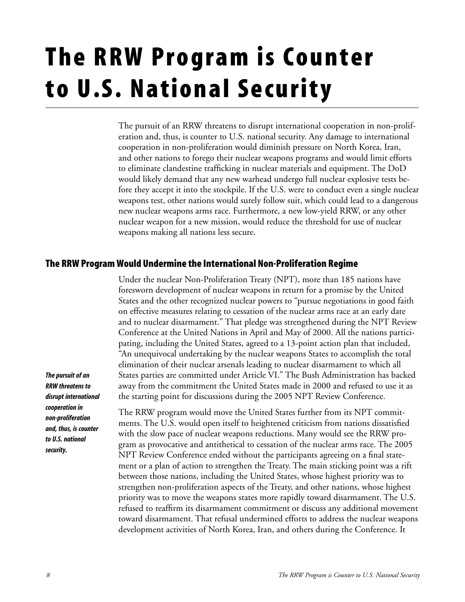### The RRW Program is Counter to U.S. National Security

The pursuit of an RRW threatens to disrupt international cooperation in non-proliferation and, thus, is counter to U.S. national security. Any damage to international cooperation in non-proliferation would diminish pressure on North Korea, Iran, and other nations to forego their nuclear weapons programs and would limit efforts to eliminate clandestine trafficking in nuclear materials and equipment. The DoD would likely demand that any new warhead undergo full nuclear explosive tests before they accept it into the stockpile. If the U.S. were to conduct even a single nuclear weapons test, other nations would surely follow suit, which could lead to a dangerous new nuclear weapons arms race. Furthermore, a new low-yield RRW, or any other nuclear weapon for a new mission, would reduce the threshold for use of nuclear weapons making all nations less secure.

### The RRW Program Would Undermine the International Non-Proliferation Regime

Under the nuclear Non-Proliferation Treaty (NPT), more than 185 nations have foresworn development of nuclear weapons in return for a promise by the United States and the other recognized nuclear powers to "pursue negotiations in good faith on effective measures relating to cessation of the nuclear arms race at an early date and to nuclear disarmament." That pledge was strengthened during the NPT Review Conference at the United Nations in April and May of 2000. All the nations participating, including the United States, agreed to a 13-point action plan that included, "An unequivocal undertaking by the nuclear weapons States to accomplish the total elimination of their nuclear arsenals leading to nuclear disarmament to which all States parties are committed under Article VI." The Bush Administration has backed away from the commitment the United States made in 2000 and refused to use it as the starting point for discussions during the 2005 NPT Review Conference.

The RRW program would move the United States further from its NPT commitments. The U.S. would open itself to heightened criticism from nations dissatisfied with the slow pace of nuclear weapons reductions. Many would see the RRW program as provocative and antithetical to cessation of the nuclear arms race. The 2005 NPT Review Conference ended without the participants agreeing on a final statement or a plan of action to strengthen the Treaty. The main sticking point was a rift between those nations, including the United States, whose highest priority was to strengthen non-proliferation aspects of the Treaty, and other nations, whose highest priority was to move the weapons states more rapidly toward disarmament. The U.S. refused to reaffirm its disarmament commitment or discuss any additional movement toward disarmament. That refusal undermined efforts to address the nuclear weapons development activities of North Korea, Iran, and others during the Conference. It

*The pursuit of an RRW threatens to disrupt international cooperation in non-proliferation and, thus, is counter to U.S. national security.*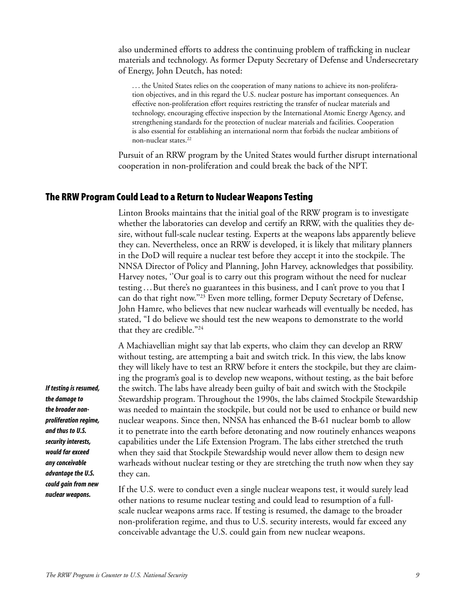also undermined efforts to address the continuing problem of trafficking in nuclear materials and technology. As former Deputy Secretary of Defense and Undersecretary of Energy, John Deutch, has noted:

. . . the United States relies on the cooperation of many nations to achieve its non-proliferation objectives, and in this regard the U.S. nuclear posture has important consequences. An effective non-proliferation effort requires restricting the transfer of nuclear materials and technology, encouraging effective inspection by the International Atomic Energy Agency, and strengthening standards for the protection of nuclear materials and facilities. Cooperation is also essential for establishing an international norm that forbids the nuclear ambitions of non-nuclear states.<sup>22</sup>

Pursuit of an RRW program by the United States would further disrupt international cooperation in non-proliferation and could break the back of the NPT.

#### The RRW Program Could Lead to a Return to Nuclear Weapons Testing

Linton Brooks maintains that the initial goal of the RRW program is to investigate whether the laboratories can develop and certify an RRW, with the qualities they desire, without full-scale nuclear testing. Experts at the weapons labs apparently believe they can. Nevertheless, once an RRW is developed, it is likely that military planners in the DoD will require a nuclear test before they accept it into the stockpile. The NNSA Director of Policy and Planning, John Harvey, acknowledges that possibility. Harvey notes, "Our goal is to carry out this program without the need for nuclear testing . . . But there's no guarantees in this business, and I can't prove to you that I can do that right now.''23 Even more telling, former Deputy Secretary of Defense, John Hamre, who believes that new nuclear warheads will eventually be needed, has stated, "I do believe we should test the new weapons to demonstrate to the world that they are credible."24

A Machiavellian might say that lab experts, who claim they can develop an RRW without testing, are attempting a bait and switch trick. In this view, the labs know they will likely have to test an RRW before it enters the stockpile, but they are claiming the program's goal is to develop new weapons, without testing, as the bait before the switch. The labs have already been guilty of bait and switch with the Stockpile Stewardship program. Throughout the 1990s, the labs claimed Stockpile Stewardship was needed to maintain the stockpile, but could not be used to enhance or build new nuclear weapons. Since then, NNSA has enhanced the B-61 nuclear bomb to allow it to penetrate into the earth before detonating and now routinely enhances weapons capabilities under the Life Extension Program. The labs either stretched the truth when they said that Stockpile Stewardship would never allow them to design new warheads without nuclear testing or they are stretching the truth now when they say they can.

If the U.S. were to conduct even a single nuclear weapons test, it would surely lead other nations to resume nuclear testing and could lead to resumption of a fullscale nuclear weapons arms race. If testing is resumed, the damage to the broader non-proliferation regime, and thus to U.S. security interests, would far exceed any conceivable advantage the U.S. could gain from new nuclear weapons.

*If testing is resumed, the damage to the broader nonproliferation regime, and thus to U.S. security interests, would far exceed any conceivable advantage the U.S. could gain from new nuclear weapons.*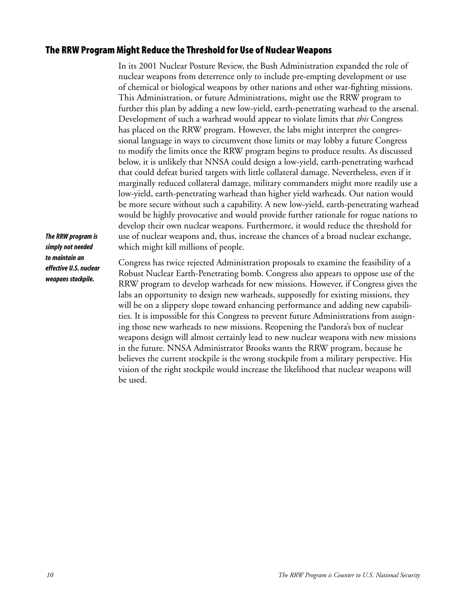### The RRW Program Might Reduce the Threshold for Use of Nuclear Weapons

In its 2001 Nuclear Posture Review, the Bush Administration expanded the role of nuclear weapons from deterrence only to include pre-empting development or use of chemical or biological weapons by other nations and other war-fighting missions. This Administration, or future Administrations, might use the RRW program to further this plan by adding a new low-yield, earth-penetrating warhead to the arsenal. Development of such a warhead would appear to violate limits that *this* Congress has placed on the RRW program. However, the labs might interpret the congressional language in ways to circumvent those limits or may lobby a future Congress to modify the limits once the RRW program begins to produce results. As discussed below, it is unlikely that NNSA could design a low-yield, earth-penetrating warhead that could defeat buried targets with little collateral damage. Nevertheless, even if it marginally reduced collateral damage, military commanders might more readily use a low-yield, earth-penetrating warhead than higher yield warheads. Our nation would be more secure without such a capability. A new low-yield, earth-penetrating warhead would be highly provocative and would provide further rationale for rogue nations to develop their own nuclear weapons. Furthermore, it would reduce the threshold for use of nuclear weapons and, thus, increase the chances of a broad nuclear exchange, which might kill millions of people.

*The RRW program is simply not needed to maintain an effective U.S. nuclear weapons stockpile.*

Congress has twice rejected Administration proposals to examine the feasibility of a Robust Nuclear Earth-Penetrating bomb. Congress also appears to oppose use of the RRW program to develop warheads for new missions. However, if Congress gives the labs an opportunity to design new warheads, supposedly for existing missions, they will be on a slippery slope toward enhancing performance and adding new capabilities. It is impossible for this Congress to prevent future Administrations from assigning those new warheads to new missions. Reopening the Pandora's box of nuclear weapons design will almost certainly lead to new nuclear weapons with new missions in the future. NNSA Administrator Brooks wants the RRW program, because he believes the current stockpile is the wrong stockpile from a military perspective. His vision of the right stockpile would increase the likelihood that nuclear weapons will be used.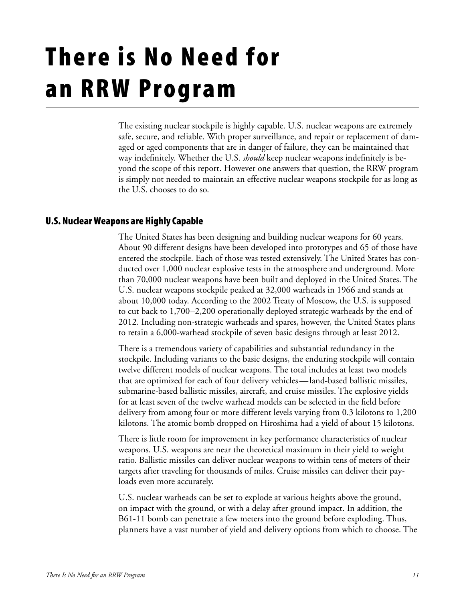## There is No Need for an RRW Program

The existing nuclear stockpile is highly capable. U.S. nuclear weapons are extremely safe, secure, and reliable. With proper surveillance, and repair or replacement of damaged or aged components that are in danger of failure, they can be maintained that way indefinitely. Whether the U.S. *should* keep nuclear weapons indefinitely is beyond the scope of this report. However one answers that question, the RRW program is simply not needed to maintain an effective nuclear weapons stockpile for as long as the U.S. chooses to do so.

### U.S. Nuclear Weapons are Highly Capable

The United States has been designing and building nuclear weapons for 60 years. About 90 different designs have been developed into prototypes and 65 of those have entered the stockpile. Each of those was tested extensively. The United States has conducted over 1,000 nuclear explosive tests in the atmosphere and underground. More than 70,000 nuclear weapons have been built and deployed in the United States. The U.S. nuclear weapons stockpile peaked at 32,000 warheads in 1966 and stands at about 10,000 today. According to the 2002 Treaty of Moscow, the U.S. is supposed to cut back to 1,700–2,200 operationally deployed strategic warheads by the end of 2012. Including non-strategic warheads and spares, however, the United States plans to retain a 6,000-warhead stockpile of seven basic designs through at least 2012.

There is a tremendous variety of capabilities and substantial redundancy in the stockpile. Including variants to the basic designs, the enduring stockpile will contain twelve different models of nuclear weapons. The total includes at least two models that are optimized for each of four delivery vehicles—land-based ballistic missiles, submarine-based ballistic missiles, aircraft, and cruise missiles. The explosive yields for at least seven of the twelve warhead models can be selected in the field before delivery from among four or more different levels varying from 0.3 kilotons to 1,200 kilotons. The atomic bomb dropped on Hiroshima had a yield of about 15 kilotons.

There is little room for improvement in key performance characteristics of nuclear weapons. U.S. weapons are near the theoretical maximum in their yield to weight ratio. Ballistic missiles can deliver nuclear weapons to within tens of meters of their targets after traveling for thousands of miles. Cruise missiles can deliver their payloads even more accurately.

U.S. nuclear warheads can be set to explode at various heights above the ground, on impact with the ground, or with a delay after ground impact. In addition, the B61-11 bomb can penetrate a few meters into the ground before exploding. Thus, planners have a vast number of yield and delivery options from which to choose. The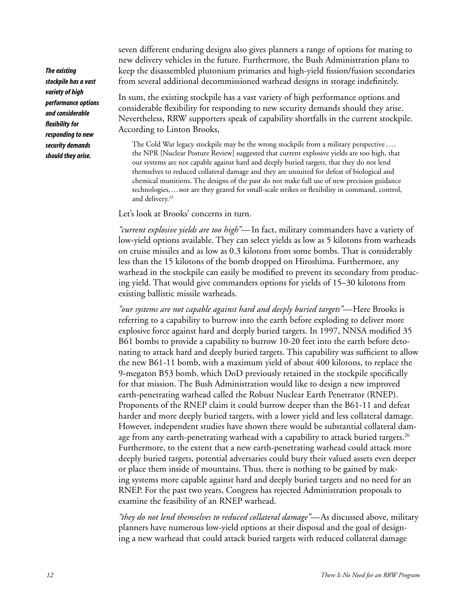seven different enduring designs also gives planners a range of options for mating to new delivery vehicles in the future. Furthermore, the Bush Administration plans to keep the disassembled plutonium primaries and high-yield fission/fusion secondaries from several additional decommissioned warhead designs in storage indefinitely.

In sum, the existing stockpile has a vast variety of high performance options and considerable flexibility for responding to new security demands should they arise. Nevertheless, RRW supporters speak of capability shortfalls in the current stockpile. According to Linton Brooks,

The Cold War legacy stockpile may be the wrong stockpile from a military perspective .... the NPR [Nuclear Posture Review] suggested that current explosive yields are too high, that our systems are not capable against hard and deeply buried targets, that they do not lend themselves to reduced collateral damage and they are unsuited for defeat of biological and chemical munitions. The designs of the past do not make full use of new precision guidance technologies, . . . nor are they geared for small-scale strikes or flexibility in command, control, and delivery.25

Let's look at Brooks' concerns in turn.

*"current explosive yields are too high"*— In fact, military commanders have a variety of low-yield options available. They can select yields as low as 5 kilotons from warheads on cruise missiles and as low as 0.3 kilotons from some bombs. That is considerably less than the 15 kilotons of the bomb dropped on Hiroshima. Furthermore, any warhead in the stockpile can easily be modified to prevent its secondary from producing yield. That would give commanders options for yields of 15–30 kilotons from existing ballistic missile warheads.

*"our systems are not capable against hard and deeply buried targets"*—Here Brooks is referring to a capability to burrow into the earth before exploding to deliver more explosive force against hard and deeply buried targets. In 1997, NNSA modified 35 B61 bombs to provide a capability to burrow 10-20 feet into the earth before detonating to attack hard and deeply buried targets. This capability was sufficient to allow the new B61-11 bomb, with a maximum yield of about 400 kilotons, to replace the 9-megaton B53 bomb, which DoD previously retained in the stockpile specifically for that mission. The Bush Administration would like to design a new improved earth-penetrating warhead called the Robust Nuclear Earth Penetrator (RNEP). Proponents of the RNEP claim it could burrow deeper than the B61-11 and defeat harder and more deeply buried targets, with a lower yield and less collateral damage. However, independent studies have shown there would be substantial collateral damage from any earth-penetrating warhead with a capability to attack buried targets.<sup>26</sup> Furthermore, to the extent that a new earth-penetrating warhead could attack more deeply buried targets, potential adversaries could bury their valued assets even deeper or place them inside of mountains. Thus, there is nothing to be gained by making systems more capable against hard and deeply buried targets and no need for an RNEP. For the past two years, Congress has rejected Administration proposals to examine the feasibility of an RNEP warhead.

*"they do not lend themselves to reduced collateral damage"*—As discussed above, military planners have numerous low-yield options at their disposal and the goal of designing a new warhead that could attack buried targets with reduced collateral damage

*The existing stockpile has a vast variety of high performance options and considerable flexibility for responding to new security demands should they arise.*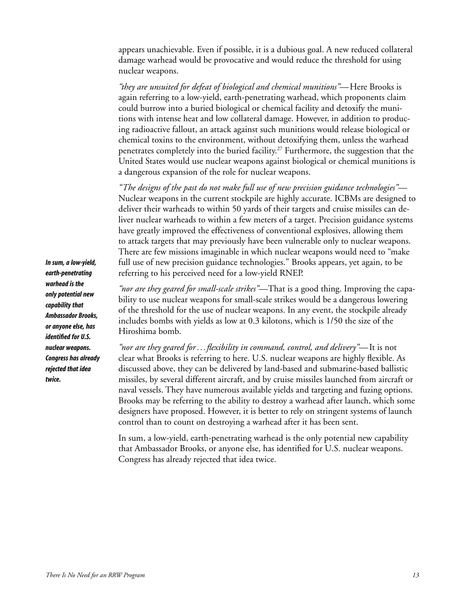appears unachievable. Even if possible, it is a dubious goal. A new reduced collateral damage warhead would be provocative and would reduce the threshold for using nuclear weapons.

*"they are unsuited for defeat of biological and chemical munitions"*—Here Brooks is again referring to a low-yield, earth-penetrating warhead, which proponents claim could burrow into a buried biological or chemical facility and detoxify the munitions with intense heat and low collateral damage. However, in addition to producing radioactive fallout, an attack against such munitions would release biological or chemical toxins to the environment, without detoxifying them, unless the warhead penetrates completely into the buried facility.<sup>27</sup> Furthermore, the suggestion that the United States would use nuclear weapons against biological or chemical munitions is a dangerous expansion of the role for nuclear weapons.

*"The designs of the past do not make full use of new precision guidance technologies"*— Nuclear weapons in the current stockpile are highly accurate. ICBMs are designed to deliver their warheads to within 50 yards of their targets and cruise missiles can deliver nuclear warheads to within a few meters of a target. Precision guidance systems have greatly improved the effectiveness of conventional explosives, allowing them to attack targets that may previously have been vulnerable only to nuclear weapons. There are few missions imaginable in which nuclear weapons would need to "make full use of new precision guidance technologies." Brooks appears, yet again, to be referring to his perceived need for a low-yield RNEP.

*"nor are they geared for small-scale strikes"*—That is a good thing. Improving the capability to use nuclear weapons for small-scale strikes would be a dangerous lowering of the threshold for the use of nuclear weapons. In any event, the stockpile already includes bombs with yields as low at 0.3 kilotons, which is 1/50 the size of the Hiroshima bomb.

*"nor are they geared for . . . flexibility in command, control, and delivery"*—It is not clear what Brooks is referring to here. U.S. nuclear weapons are highly flexible. As discussed above, they can be delivered by land-based and submarine-based ballistic missiles, by several different aircraft, and by cruise missiles launched from aircraft or naval vessels. They have numerous available yields and targeting and fuzing options. Brooks may be referring to the ability to destroy a warhead after launch, which some designers have proposed. However, it is better to rely on stringent systems of launch control than to count on destroying a warhead after it has been sent.

In sum, a low-yield, earth-penetrating warhead is the only potential new capability that Ambassador Brooks, or anyone else, has identified for U.S. nuclear weapons. Congress has already rejected that idea twice.

*In sum, a low-yield, earth-penetrating warhead is the only potential new capability that Ambassador Brooks, or anyone else, has identified for U.S. nuclear weapons. Congress has already rejected that idea twice.*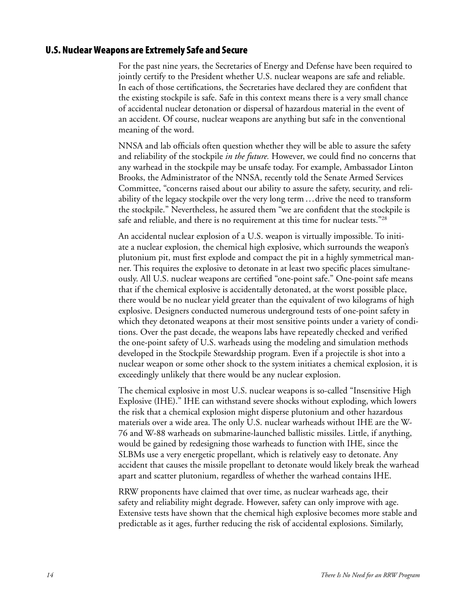#### U.S. Nuclear Weapons are Extremely Safe and Secure

For the past nine years, the Secretaries of Energy and Defense have been required to jointly certify to the President whether U.S. nuclear weapons are safe and reliable. In each of those certifications, the Secretaries have declared they are confident that the existing stockpile is safe. Safe in this context means there is a very small chance of accidental nuclear detonation or dispersal of hazardous material in the event of an accident. Of course, nuclear weapons are anything but safe in the conventional meaning of the word.

NNSA and lab officials often question whether they will be able to assure the safety and reliability of the stockpile *in the future.* However, we could find no concerns that any warhead in the stockpile may be unsafe today. For example, Ambassador Linton Brooks, the Administrator of the NNSA, recently told the Senate Armed Services Committee, "concerns raised about our ability to assure the safety, security, and reliability of the legacy stockpile over the very long term . . . drive the need to transform the stockpile." Nevertheless, he assured them "we are confident that the stockpile is safe and reliable, and there is no requirement at this time for nuclear tests."<sup>28</sup>

An accidental nuclear explosion of a U.S. weapon is virtually impossible. To initiate a nuclear explosion, the chemical high explosive, which surrounds the weapon's plutonium pit, must first explode and compact the pit in a highly symmetrical manner. This requires the explosive to detonate in at least two specific places simultaneously. All U.S. nuclear weapons are certified "one-point safe." One-point safe means that if the chemical explosive is accidentally detonated, at the worst possible place, there would be no nuclear yield greater than the equivalent of two kilograms of high explosive. Designers conducted numerous underground tests of one-point safety in which they detonated weapons at their most sensitive points under a variety of conditions. Over the past decade, the weapons labs have repeatedly checked and verified the one-point safety of U.S. warheads using the modeling and simulation methods developed in the Stockpile Stewardship program. Even if a projectile is shot into a nuclear weapon or some other shock to the system initiates a chemical explosion, it is exceedingly unlikely that there would be any nuclear explosion.

The chemical explosive in most U.S. nuclear weapons is so-called "Insensitive High Explosive (IHE)." IHE can withstand severe shocks without exploding, which lowers the risk that a chemical explosion might disperse plutonium and other hazardous materials over a wide area. The only U.S. nuclear warheads without IHE are the W-76 and W-88 warheads on submarine-launched ballistic missiles. Little, if anything, would be gained by redesigning those warheads to function with IHE, since the SLBMs use a very energetic propellant, which is relatively easy to detonate. Any accident that causes the missile propellant to detonate would likely break the warhead apart and scatter plutonium, regardless of whether the warhead contains IHE.

RRW proponents have claimed that over time, as nuclear warheads age, their safety and reliability might degrade. However, safety can only improve with age. Extensive tests have shown that the chemical high explosive becomes more stable and predictable as it ages, further reducing the risk of accidental explosions. Similarly,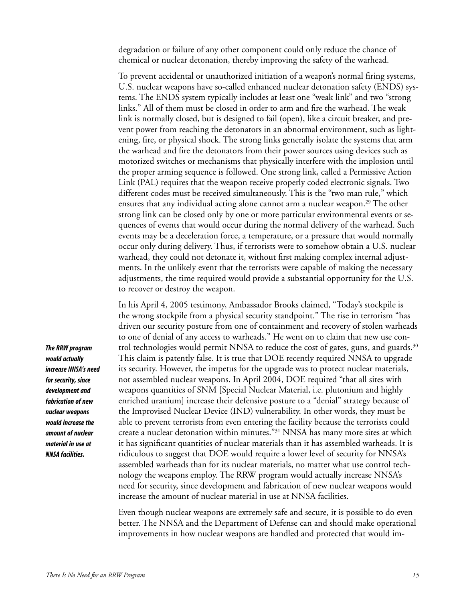degradation or failure of any other component could only reduce the chance of chemical or nuclear detonation, thereby improving the safety of the warhead.

To prevent accidental or unauthorized initiation of a weapon's normal firing systems, U.S. nuclear weapons have so-called enhanced nuclear detonation safety (ENDS) systems. The ENDS system typically includes at least one "weak link" and two "strong links." All of them must be closed in order to arm and fire the warhead. The weak link is normally closed, but is designed to fail (open), like a circuit breaker, and prevent power from reaching the detonators in an abnormal environment, such as lightening, fire, or physical shock. The strong links generally isolate the systems that arm the warhead and fire the detonators from their power sources using devices such as motorized switches or mechanisms that physically interfere with the implosion until the proper arming sequence is followed. One strong link, called a Permissive Action Link (PAL) requires that the weapon receive properly coded electronic signals. Two different codes must be received simultaneously. This is the "two man rule," which ensures that any individual acting alone cannot arm a nuclear weapon.<sup>29</sup> The other strong link can be closed only by one or more particular environmental events or sequences of events that would occur during the normal delivery of the warhead. Such events may be a deceleration force, a temperature, or a pressure that would normally occur only during delivery. Thus, if terrorists were to somehow obtain a U.S. nuclear warhead, they could not detonate it, without first making complex internal adjustments. In the unlikely event that the terrorists were capable of making the necessary adjustments, the time required would provide a substantial opportunity for the U.S. to recover or destroy the weapon.

In his April 4, 2005 testimony, Ambassador Brooks claimed, "Today's stockpile is the wrong stockpile from a physical security standpoint." The rise in terrorism "has driven our security posture from one of containment and recovery of stolen warheads to one of denial of any access to warheads." He went on to claim that new use control technologies would permit NNSA to reduce the cost of gates, guns, and guards.<sup>30</sup> This claim is patently false. It is true that DOE recently required NNSA to upgrade its security. However, the impetus for the upgrade was to protect nuclear materials, not assembled nuclear weapons. In April 2004, DOE required "that all sites with weapons quantities of SNM [Special Nuclear Material, i.e. plutonium and highly enriched uranium] increase their defensive posture to a "denial" strategy because of the Improvised Nuclear Device (IND) vulnerability. In other words, they must be able to prevent terrorists from even entering the facility because the terrorists could create a nuclear detonation within minutes."31 NNSA has many more sites at which it has significant quantities of nuclear materials than it has assembled warheads. It is ridiculous to suggest that DOE would require a lower level of security for NNSA's assembled warheads than for its nuclear materials, no matter what use control technology the weapons employ. The RRW program would actually increase NNSA's need for security, since development and fabrication of new nuclear weapons would increase the amount of nuclear material in use at NNSA facilities.

Even though nuclear weapons are extremely safe and secure, it is possible to do even better. The NNSA and the Department of Defense can and should make operational improvements in how nuclear weapons are handled and protected that would im-

*The RRW program would actually increase NNSA's need for security, since development and fabrication of new nuclear weapons would increase the amount of nuclear material in use at NNSA facilities.*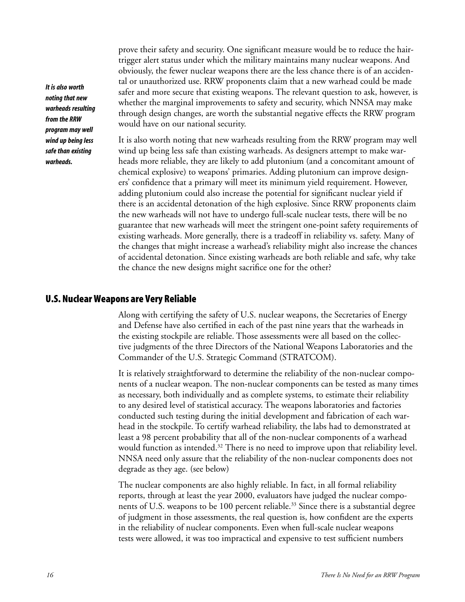*It is also worth noting that new warheads resulting from the RRW program may well wind up being less safe than existing warheads.* 

prove their safety and security. One significant measure would be to reduce the hairtrigger alert status under which the military maintains many nuclear weapons. And obviously, the fewer nuclear weapons there are the less chance there is of an accidental or unauthorized use. RRW proponents claim that a new warhead could be made safer and more secure that existing weapons. The relevant question to ask, however, is whether the marginal improvements to safety and security, which NNSA may make through design changes, are worth the substantial negative effects the RRW program would have on our national security.

It is also worth noting that new warheads resulting from the RRW program may well wind up being less safe than existing warheads. As designers attempt to make warheads more reliable, they are likely to add plutonium (and a concomitant amount of chemical explosive) to weapons' primaries. Adding plutonium can improve designers' confidence that a primary will meet its minimum yield requirement. However, adding plutonium could also increase the potential for significant nuclear yield if there is an accidental detonation of the high explosive. Since RRW proponents claim the new warheads will not have to undergo full-scale nuclear tests, there will be no guarantee that new warheads will meet the stringent one-point safety requirements of existing warheads. More generally, there is a tradeoff in reliability vs. safety. Many of the changes that might increase a warhead's reliability might also increase the chances of accidental detonation. Since existing warheads are both reliable and safe, why take the chance the new designs might sacrifice one for the other?

#### U.S. Nuclear Weapons are Very Reliable

Along with certifying the safety of U.S. nuclear weapons, the Secretaries of Energy and Defense have also certified in each of the past nine years that the warheads in the existing stockpile are reliable. Those assessments were all based on the collective judgments of the three Directors of the National Weapons Laboratories and the Commander of the U.S. Strategic Command (STRATCOM).

It is relatively straightforward to determine the reliability of the non-nuclear components of a nuclear weapon. The non-nuclear components can be tested as many times as necessary, both individually and as complete systems, to estimate their reliability to any desired level of statistical accuracy. The weapons laboratories and factories conducted such testing during the initial development and fabrication of each warhead in the stockpile. To certify warhead reliability, the labs had to demonstrated at least a 98 percent probability that all of the non-nuclear components of a warhead would function as intended.<sup>32</sup> There is no need to improve upon that reliability level. NNSA need only assure that the reliability of the non-nuclear components does not degrade as they age. (see below)

The nuclear components are also highly reliable. In fact, in all formal reliability reports, through at least the year 2000, evaluators have judged the nuclear components of U.S. weapons to be 100 percent reliable.<sup>33</sup> Since there is a substantial degree of judgment in those assessments, the real question is, how confident are the experts in the reliability of nuclear components. Even when full-scale nuclear weapons tests were allowed, it was too impractical and expensive to test sufficient numbers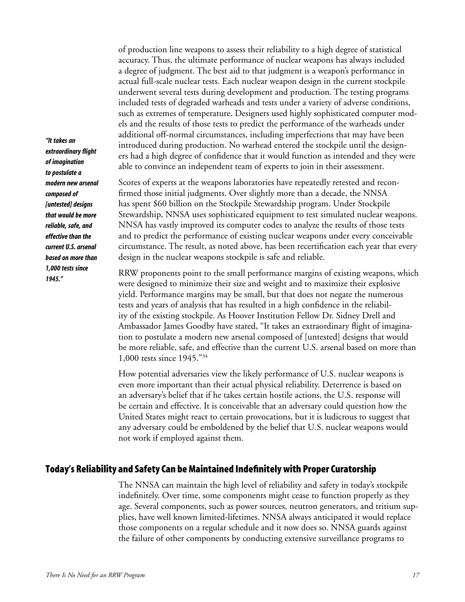of production line weapons to assess their reliability to a high degree of statistical accuracy. Thus, the ultimate performance of nuclear weapons has always included a degree of judgment. The best aid to that judgment is a weapon's performance in actual full-scale nuclear tests. Each nuclear weapon design in the current stockpile underwent several tests during development and production. The testing programs included tests of degraded warheads and tests under a variety of adverse conditions, such as extremes of temperature. Designers used highly sophisticated computer models and the results of those tests to predict the performance of the warheads under additional off-normal circumstances, including imperfections that may have been introduced during production. No warhead entered the stockpile until the designers had a high degree of confidence that it would function as intended and they were able to convince an independent team of experts to join in their assessment.

Scores of experts at the weapons laboratories have repeatedly retested and reconfirmed those initial judgments. Over slightly more than a decade, the NNSA has spent \$60 billion on the Stockpile Stewardship program. Under Stockpile Stewardship, NNSA uses sophisticated equipment to test simulated nuclear weapons. NNSA has vastly improved its computer codes to analyze the results of those tests and to predict the performance of existing nuclear weapons under every conceivable circumstance. The result, as noted above, has been recertification each year that every design in the nuclear weapons stockpile is safe and reliable.

RRW proponents point to the small performance margins of existing weapons, which were designed to minimize their size and weight and to maximize their explosive yield. Performance margins may be small, but that does not negate the numerous tests and years of analysis that has resulted in a high confidence in the reliability of the existing stockpile. As Hoover Institution Fellow Dr. Sidney Drell and Ambassador James Goodby have stated, "It takes an extraordinary flight of imagination to postulate a modern new arsenal composed of [untested] designs that would be more reliable, safe, and effective than the current U.S. arsenal based on more than 1,000 tests since 1945."34

How potential adversaries view the likely performance of U.S. nuclear weapons is even more important than their actual physical reliability. Deterrence is based on an adversary's belief that if he takes certain hostile actions, the U.S. response will be certain and effective. It is conceivable that an adversary could question how the United States might react to certain provocations, but it is ludicrous to suggest that any adversary could be emboldened by the belief that U.S. nuclear weapons would not work if employed against them.

#### Today's Reliability and Safety Can be Maintained Indefinitely with Proper Curatorship

The NNSA can maintain the high level of reliability and safety in today's stockpile indefinitely. Over time, some components might cease to function properly as they age. Several components, such as power sources, neutron generators, and tritium supplies, have well known limited-lifetimes. NNSA always anticipated it would replace those components on a regular schedule and it now does so. NNSA guards against the failure of other components by conducting extensive surveillance programs to

*"It takes an extraordinary flight of imagination to postulate a modern new arsenal composed of [untested] designs that would be more reliable, safe, and effective than the current U.S. arsenal based on more than 1,000 tests since 1945."*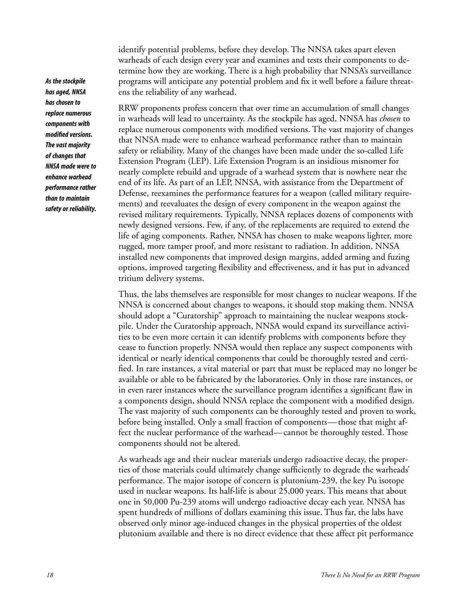identify potential problems, before they develop. The NNSA takes apart eleven warheads of each design every year and examines and tests their components to determine how they are working. There is a high probability that NNSA's surveillance programs will anticipate any potential problem and fix it well before a failure threatens the reliability of any warhead.

RRW proponents profess concern that over time an accumulation of small changes in warheads will lead to uncertainty. As the stockpile has aged, NNSA has *chosen* to replace numerous components with modified versions. The vast majority of changes that NNSA made were to enhance warhead performance rather than to maintain safety or reliability. Many of the changes have been made under the so-called Life Extension Program (LEP). Life Extension Program is an insidious misnomer for nearly complete rebuild and upgrade of a warhead system that is nowhere near the end of its life. As part of an LEP, NNSA, with assistance from the Department of Defense, reexamines the performance features for a weapon (called military requirements) and reevaluates the design of every component in the weapon against the revised military requirements. Typically, NNSA replaces dozens of components with newly designed versions. Few, if any, of the replacements are required to extend the life of aging components. Rather, NNSA has chosen to make weapons lighter, more rugged, more tamper proof, and more resistant to radiation. In addition, NNSA installed new components that improved design margins, added arming and fuzing options, improved targeting flexibility and effectiveness, and it has put in advanced tritium delivery systems.

Thus, the labs themselves are responsible for most changes to nuclear weapons. If the NNSA is concerned about changes to weapons, it should stop making them. NNSA should adopt a "Curatorship" approach to maintaining the nuclear weapons stockpile. Under the Curatorship approach, NNSA would expand its surveillance activities to be even more certain it can identify problems with components before they cease to function properly. NNSA would then replace any suspect components with identical or nearly identical components that could be thoroughly tested and certified. In rare instances, a vital material or part that must be replaced may no longer be available or able to be fabricated by the laboratories. Only in those rare instances, or in even rarer instances where the surveillance program identifies a significant flaw in a components design, should NNSA replace the component with a modified design. The vast majority of such components can be thoroughly tested and proven to work, before being installed. Only a small fraction of components—those that might affect the nuclear performance of the warhead—cannot be thoroughly tested. Those components should not be altered.

As warheads age and their nuclear materials undergo radioactive decay, the properties of those materials could ultimately change sufficiently to degrade the warheads' performance. The major isotope of concern is plutonium-239, the key Pu isotope used in nuclear weapons. Its half-life is about 25,000 years. This means that about one in 50,000 Pu-239 atoms will undergo radioactive decay each year. NNSA has spent hundreds of millions of dollars examining this issue. Thus far, the labs have observed only minor age-induced changes in the physical properties of the oldest plutonium available and there is no direct evidence that these affect pit performance

*As the stockpile has aged, NNSA has chosen to replace numerous components with modified versions. The vast majority of changes that NNSA made were to enhance warhead performance rather than to maintain safety or reliability.*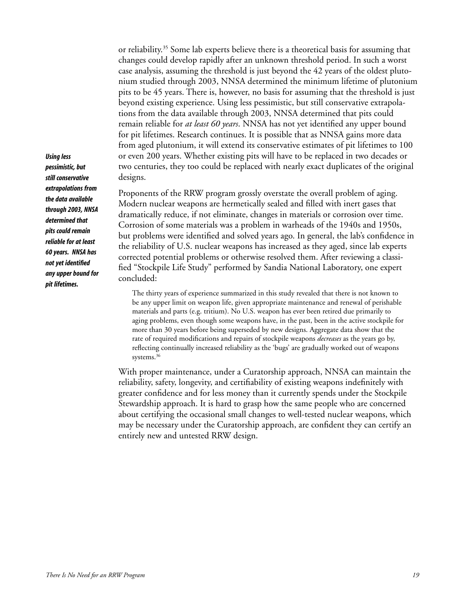or reliability.35 Some lab experts believe there is a theoretical basis for assuming that changes could develop rapidly after an unknown threshold period. In such a worst case analysis, assuming the threshold is just beyond the 42 years of the oldest plutonium studied through 2003, NNSA determined the minimum lifetime of plutonium pits to be 45 years. There is, however, no basis for assuming that the threshold is just beyond existing experience. Using less pessimistic, but still conservative extrapolations from the data available through 2003, NNSA determined that pits could remain reliable for *at least 60 years*. NNSA has not yet identified any upper bound for pit lifetimes. Research continues. It is possible that as NNSA gains more data from aged plutonium, it will extend its conservative estimates of pit lifetimes to 100 or even 200 years. Whether existing pits will have to be replaced in two decades or two centuries, they too could be replaced with nearly exact duplicates of the original designs.

Proponents of the RRW program grossly overstate the overall problem of aging. Modern nuclear weapons are hermetically sealed and filled with inert gases that dramatically reduce, if not eliminate, changes in materials or corrosion over time. Corrosion of some materials was a problem in warheads of the 1940s and 1950s, but problems were identified and solved years ago. In general, the lab's confidence in the reliability of U.S. nuclear weapons has increased as they aged, since lab experts corrected potential problems or otherwise resolved them. After reviewing a classified "Stockpile Life Study" performed by Sandia National Laboratory, one expert concluded:

The thirty years of experience summarized in this study revealed that there is not known to be any upper limit on weapon life, given appropriate maintenance and renewal of perishable materials and parts (e.g. tritium). No U.S. weapon has ever been retired due primarily to aging problems, even though some weapons have, in the past, been in the active stockpile for more than 30 years before being superseded by new designs. Aggregate data show that the rate of required modifications and repairs of stockpile weapons *decreases* as the years go by, reflecting continually increased reliability as the 'bugs' are gradually worked out of weapons systems.<sup>36</sup>

With proper maintenance, under a Curatorship approach, NNSA can maintain the reliability, safety, longevity, and certifiability of existing weapons indefinitely with greater confidence and for less money than it currently spends under the Stockpile Stewardship approach. It is hard to grasp how the same people who are concerned about certifying the occasional small changes to well-tested nuclear weapons, which may be necessary under the Curatorship approach, are confident they can certify an entirely new and untested RRW design.

*Using less pessimistic, but still conservative extrapolations from the data available through 2003, NNSA determined that pits could remain reliable for at least 60 years. NNSA has not yet identified any upper bound for pit lifetimes.*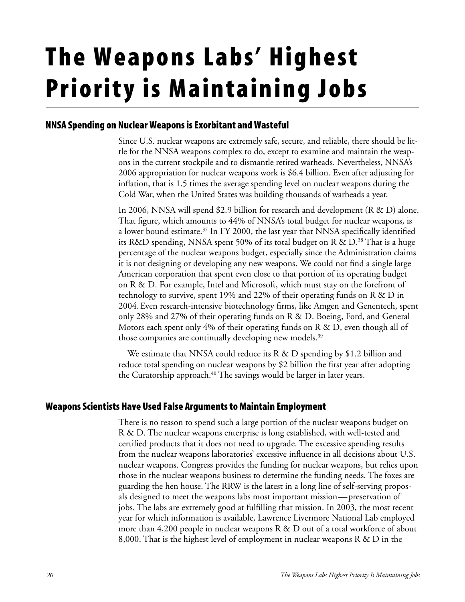### The Weapons Labs' Highest **Priority is Maintaining Jobs**

### NNSA Spending on Nuclear Weapons is Exorbitant and Wasteful

Since U.S. nuclear weapons are extremely safe, secure, and reliable, there should be little for the NNSA weapons complex to do, except to examine and maintain the weapons in the current stockpile and to dismantle retired warheads. Nevertheless, NNSA's 2006 appropriation for nuclear weapons work is \$6.4 billion. Even after adjusting for inflation, that is 1.5 times the average spending level on nuclear weapons during the Cold War, when the United States was building thousands of warheads a year.

In 2006, NNSA will spend \$2.9 billion for research and development (R & D) alone. That figure, which amounts to 44% of NNSA's total budget for nuclear weapons, is a lower bound estimate.37 In FY 2000, the last year that NNSA specifically identified its R&D spending, NNSA spent 50% of its total budget on R & D.<sup>38</sup> That is a huge percentage of the nuclear weapons budget, especially since the Administration claims it is not designing or developing any new weapons. We could not find a single large American corporation that spent even close to that portion of its operating budget on R & D. For example, Intel and Microsoft, which must stay on the forefront of technology to survive, spent 19% and 22% of their operating funds on R & D in 2004.Even research-intensive biotechnology firms, like Amgen and Genentech, spent only 28% and 27% of their operating funds on R & D. Boeing, Ford, and General Motors each spent only 4% of their operating funds on R & D, even though all of those companies are continually developing new models.<sup>39</sup>

We estimate that NNSA could reduce its R & D spending by \$1.2 billion and reduce total spending on nuclear weapons by \$2 billion the first year after adopting the Curatorship approach. $^{40}$  The savings would be larger in later years.

#### Weapons Scientists Have Used False Arguments to Maintain Employment

There is no reason to spend such a large portion of the nuclear weapons budget on R & D. The nuclear weapons enterprise is long established, with well-tested and certified products that it does not need to upgrade. The excessive spending results from the nuclear weapons laboratories' excessive influence in all decisions about U.S. nuclear weapons. Congress provides the funding for nuclear weapons, but relies upon those in the nuclear weapons business to determine the funding needs. The foxes are guarding the hen house. The RRW is the latest in a long line of self-serving proposals designed to meet the weapons labs most important mission—preservation of jobs. The labs are extremely good at fulfilling that mission. In 2003, the most recent year for which information is available, Lawrence Livermore National Lab employed more than 4,200 people in nuclear weapons R & D out of a total workforce of about 8,000. That is the highest level of employment in nuclear weapons R & D in the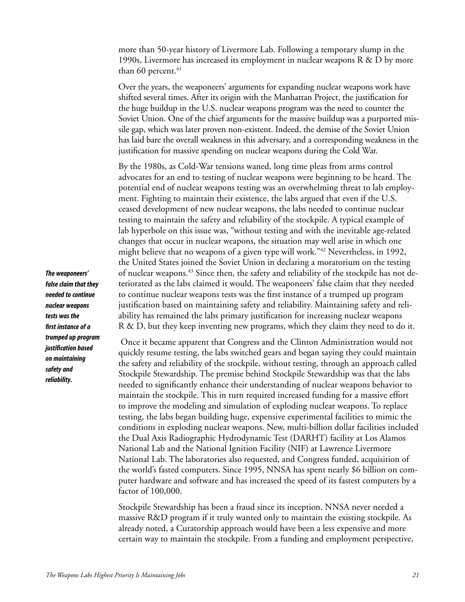more than 50-year history of Livermore Lab. Following a temporary slump in the 1990s, Livermore has increased its employment in nuclear weapons  $R \& D$  by more than 60 percent. $41$ 

Over the years, the weaponeers' arguments for expanding nuclear weapons work have shifted several times. After its origin with the Manhattan Project, the justification for the huge buildup in the U.S. nuclear weapons program was the need to counter the Soviet Union. One of the chief arguments for the massive buildup was a purported missile gap, which was later proven non-existent. Indeed, the demise of the Soviet Union has laid bare the overall weakness in this adversary, and a corresponding weakness in the justification for massive spending on nuclear weapons during the Cold War.

By the 1980s, as Cold-War tensions waned, long time pleas from arms control advocates for an end to testing of nuclear weapons were beginning to be heard. The potential end of nuclear weapons testing was an overwhelming threat to lab employment. Fighting to maintain their existence, the labs argued that even if the U.S. ceased development of new nuclear weapons, the labs needed to continue nuclear testing to maintain the safety and reliability of the stockpile. A typical example of lab hyperbole on this issue was, "without testing and with the inevitable age-related changes that occur in nuclear weapons, the situation may well arise in which one might believe that no weapons of a given type will work."42 Nevertheless, in 1992, the United States joined the Soviet Union in declaring a moratorium on the testing of nuclear weapons.43 Since then, the safety and reliability of the stockpile has not deteriorated as the labs claimed it would. The weaponeers' false claim that they needed to continue nuclear weapons tests was the first instance of a trumped up program justification based on maintaining safety and reliability. Maintaining safety and reliability has remained the labs primary justification for increasing nuclear weapons R & D, but they keep inventing new programs, which they claim they need to do it.

 Once it became apparent that Congress and the Clinton Administration would not quickly resume testing, the labs switched gears and began saying they could maintain the safety and reliability of the stockpile, without testing, through an approach called Stockpile Stewardship. The premise behind Stockpile Stewardship was that the labs needed to significantly enhance their understanding of nuclear weapons behavior to maintain the stockpile. This in turn required increased funding for a massive effort to improve the modeling and simulation of exploding nuclear weapons. To replace testing, the labs began building huge, expensive experimental facilities to mimic the conditions in exploding nuclear weapons. New, multi-billion dollar facilities included the Dual Axis Radiographic Hydrodynamic Test (DARHT) facility at Los Alamos National Lab and the National Ignition Facility (NIF) at Lawrence Livermore National Lab. The laboratories also requested, and Congress funded, acquisition of the world's fasted computers. Since 1995, NNSA has spent nearly \$6 billion on computer hardware and software and has increased the speed of its fastest computers by a factor of 100,000.

Stockpile Stewardship has been a fraud since its inception. NNSA never needed a massive R&D program if it truly wanted only to maintain the existing stockpile. As already noted, a Curatorship approach would have been a less expensive and more certain way to maintain the stockpile. From a funding and employment perspective,

*The weaponeers' false claim that they needed to continue nuclear weapons tests was the first instance of a trumped up program justification based on maintaining safety and reliability.*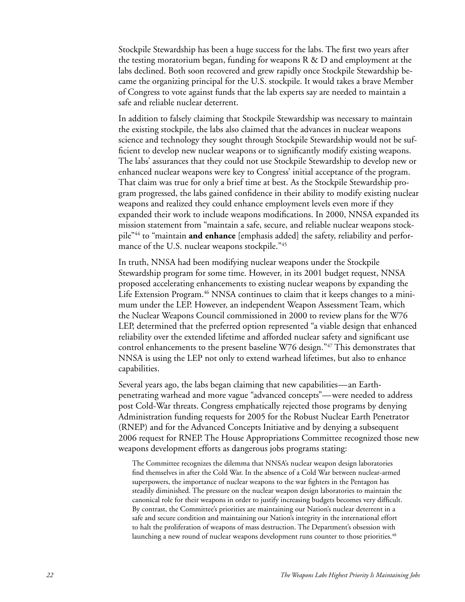Stockpile Stewardship has been a huge success for the labs. The first two years after the testing moratorium began, funding for weapons R & D and employment at the labs declined. Both soon recovered and grew rapidly once Stockpile Stewardship became the organizing principal for the U.S. stockpile. It would takes a brave Member of Congress to vote against funds that the lab experts say are needed to maintain a safe and reliable nuclear deterrent.

In addition to falsely claiming that Stockpile Stewardship was necessary to maintain the existing stockpile, the labs also claimed that the advances in nuclear weapons science and technology they sought through Stockpile Stewardship would not be sufficient to develop new nuclear weapons or to significantly modify existing weapons. The labs' assurances that they could not use Stockpile Stewardship to develop new or enhanced nuclear weapons were key to Congress' initial acceptance of the program. That claim was true for only a brief time at best. As the Stockpile Stewardship program progressed, the labs gained confidence in their ability to modify existing nuclear weapons and realized they could enhance employment levels even more if they expanded their work to include weapons modifications. In 2000, NNSA expanded its mission statement from "maintain a safe, secure, and reliable nuclear weapons stockpile"44 to "maintain **and enhance** [emphasis added] the safety, reliability and performance of the U.S. nuclear weapons stockpile."45

In truth, NNSA had been modifying nuclear weapons under the Stockpile Stewardship program for some time. However, in its 2001 budget request, NNSA proposed accelerating enhancements to existing nuclear weapons by expanding the Life Extension Program.<sup>46</sup> NNSA continues to claim that it keeps changes to a minimum under the LEP. However, an independent Weapon Assessment Team, which the Nuclear Weapons Council commissioned in 2000 to review plans for the W76 LEP, determined that the preferred option represented "a viable design that enhanced reliability over the extended lifetime and afforded nuclear safety and significant use control enhancements to the present baseline W76 design."47 This demonstrates that NNSA is using the LEP not only to extend warhead lifetimes, but also to enhance capabilities.

Several years ago, the labs began claiming that new capabilities—an Earthpenetrating warhead and more vague "advanced concepts"—were needed to address post Cold-War threats. Congress emphatically rejected those programs by denying Administration funding requests for 2005 for the Robust Nuclear Earth Penetrator (RNEP) and for the Advanced Concepts Initiative and by denying a subsequent 2006 request for RNEP. The House Appropriations Committee recognized those new weapons development efforts as dangerous jobs programs stating:

The Committee recognizes the dilemma that NNSA's nuclear weapon design laboratories find themselves in after the Cold War. In the absence of a Cold War between nuclear-armed superpowers, the importance of nuclear weapons to the war fighters in the Pentagon has steadily diminished. The pressure on the nuclear weapon design laboratories to maintain the canonical role for their weapons in order to justify increasing budgets becomes very difficult. By contrast, the Committee's priorities are maintaining our Nation's nuclear deterrent in a safe and secure condition and maintaining our Nation's integrity in the international effort to halt the proliferation of weapons of mass destruction. The Department's obsession with launching a new round of nuclear weapons development runs counter to those priorities.<sup>48</sup>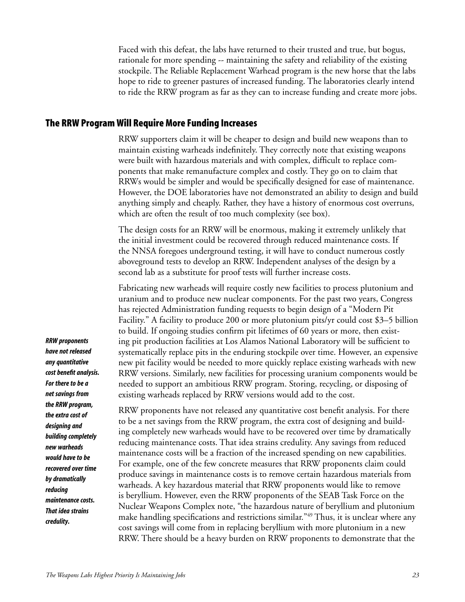Faced with this defeat, the labs have returned to their trusted and true, but bogus, rationale for more spending -- maintaining the safety and reliability of the existing stockpile. The Reliable Replacement Warhead program is the new horse that the labs hope to ride to greener pastures of increased funding. The laboratories clearly intend to ride the RRW program as far as they can to increase funding and create more jobs.

#### The RRW Program Will Require More Funding Increases

RRW supporters claim it will be cheaper to design and build new weapons than to maintain existing warheads indefinitely. They correctly note that existing weapons were built with hazardous materials and with complex, difficult to replace components that make remanufacture complex and costly. They go on to claim that RRWs would be simpler and would be specifically designed for ease of maintenance. However, the DOE laboratories have not demonstrated an ability to design and build anything simply and cheaply. Rather, they have a history of enormous cost overruns, which are often the result of too much complexity (see box).

The design costs for an RRW will be enormous, making it extremely unlikely that the initial investment could be recovered through reduced maintenance costs. If the NNSA foregoes underground testing, it will have to conduct numerous costly aboveground tests to develop an RRW. Independent analyses of the design by a second lab as a substitute for proof tests will further increase costs.

Fabricating new warheads will require costly new facilities to process plutonium and uranium and to produce new nuclear components. For the past two years, Congress has rejected Administration funding requests to begin design of a "Modern Pit Facility." A facility to produce 200 or more plutonium pits/yr could cost \$3–5 billion to build. If ongoing studies confirm pit lifetimes of 60 years or more, then existing pit production facilities at Los Alamos National Laboratory will be sufficient to systematically replace pits in the enduring stockpile over time. However, an expensive new pit facility would be needed to more quickly replace existing warheads with new RRW versions. Similarly, new facilities for processing uranium components would be needed to support an ambitious RRW program. Storing, recycling, or disposing of existing warheads replaced by RRW versions would add to the cost.

RRW proponents have not released any quantitative cost benefit analysis. For there to be a net savings from the RRW program, the extra cost of designing and building completely new warheads would have to be recovered over time by dramatically reducing maintenance costs. That idea strains credulity. Any savings from reduced maintenance costs will be a fraction of the increased spending on new capabilities. For example, one of the few concrete measures that RRW proponents claim could produce savings in maintenance costs is to remove certain hazardous materials from warheads. A key hazardous material that RRW proponents would like to remove is beryllium. However, even the RRW proponents of the SEAB Task Force on the Nuclear Weapons Complex note, "the hazardous nature of beryllium and plutonium make handling specifications and restrictions similar."<sup>49</sup> Thus, it is unclear where any cost savings will come from in replacing beryllium with more plutonium in a new RRW. There should be a heavy burden on RRW proponents to demonstrate that the

*RRW proponents have not released any quantitative cost benefit analysis. For there to be a net savings from the RRW program, the extra cost of designing and building completely new warheads would have to be recovered over time by dramatically reducing maintenance costs. That idea strains credulity.*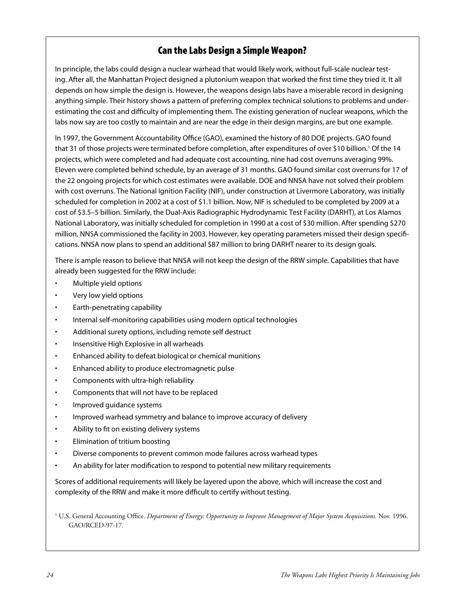### Can the Labs Design a Simple Weapon?

In principle, the labs could design a nuclear warhead that would likely work, without full-scale nuclear testing. After all, the Manhattan Project designed a plutonium weapon that worked the first time they tried it. It all depends on how simple the design is. However, the weapons design labs have a miserable record in designing anything simple. Their history shows a pattern of preferring complex technical solutions to problems and underestimating the cost and difficulty of implementing them. The existing generation of nuclear weapons, which the labs now say are too costly to maintain and are near the edge in their design margins, are but one example.

In 1997, the Government Accountability Office (GAO), examined the history of 80 DOE projects. GAO found that 31 of those projects were terminated before completion, after expenditures of over \$10 billion.<sup>1</sup> Of the 14 projects, which were completed and had adequate cost accounting, nine had cost overruns averaging 99%. Eleven were completed behind schedule, by an average of 31 months. GAO found similar cost overruns for 17 of the 22 ongoing projects for which cost estimates were available. DOE and NNSA have not solved their problem with cost overruns. The National Ignition Facility (NIF), under construction at Livermore Laboratory, was initially scheduled for completion in 2002 at a cost of \$1.1 billion. Now, NIF is scheduled to be completed by 2009 at a cost of \$3.5–5 billion. Similarly, the Dual-Axis Radiographic Hydrodynamic Test Facility (DARHT), at Los Alamos National Laboratory, was initially scheduled for completion in 1990 at a cost of \$30 million. After spending \$270 million, NNSA commissioned the facility in 2003. However, key operating parameters missed their design specifications. NNSA now plans to spend an additional \$87 million to bring DARHT nearer to its design goals.

There is ample reason to believe that NNSA will not keep the design of the RRW simple. Capabilities that have already been suggested for the RRW include:

- Multiple yield options
- Very low yield options
- Earth-penetrating capability
- Internal self-monitoring capabilities using modern optical technologies
- Additional surety options, including remote self destruct
- Insensitive High Explosive in all warheads
- Enhanced ability to defeat biological or chemical munitions
- Enhanced ability to produce electromagnetic pulse
- Components with ultra-high reliability
- Components that will not have to be replaced
- Improved guidance systems
- Improved warhead symmetry and balance to improve accuracy of delivery
- Ability to fit on existing delivery systems
- Elimination of tritium boosting
- Diverse components to prevent common mode failures across warhead types
- An ability for later modification to respond to potential new military requirements

Scores of additional requirements will likely be layered upon the above, which will increase the cost and complexity of the RRW and make it more difficult to certify without testing.

<sup>1</sup> U.S. General Accounting Office. *Department of Energy: Opportunity to Improve Management of Major System Acquisitions. Nov. 1996.* GAO/RCED-97-17.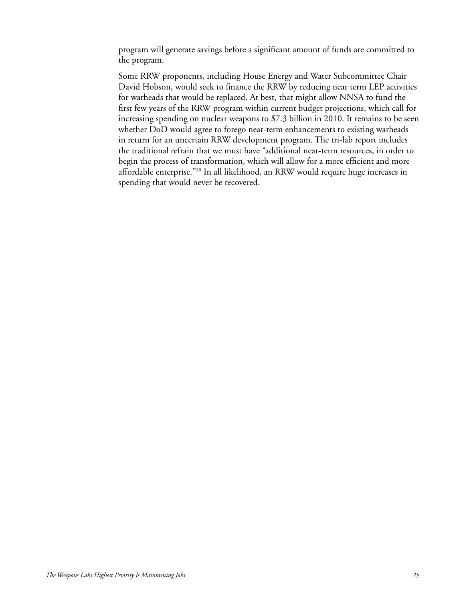program will generate savings before a significant amount of funds are committed to the program.

Some RRW proponents, including House Energy and Water Subcommittee Chair David Hobson, would seek to finance the RRW by reducing near term LEP activities for warheads that would be replaced. At best, that might allow NNSA to fund the first few years of the RRW program within current budget projections, which call for increasing spending on nuclear weapons to \$7.3 billion in 2010. It remains to be seen whether DoD would agree to forego near-term enhancements to existing warheads in return for an uncertain RRW development program. The tri-lab report includes the traditional refrain that we must have "additional near-term resources, in order to begin the process of transformation, which will allow for a more efficient and more affordable enterprise."50 In all likelihood, an RRW would require huge increases in spending that would never be recovered.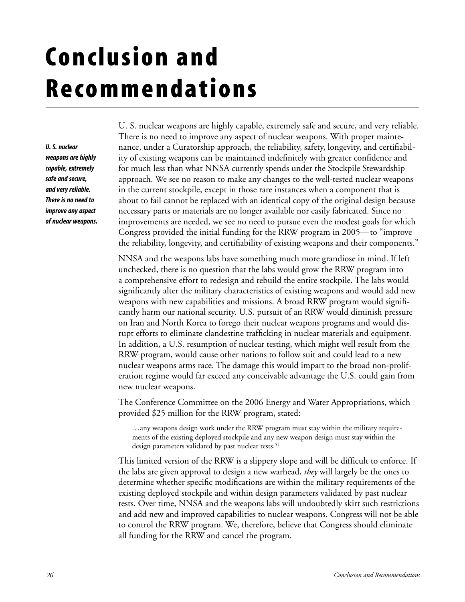## **Conclusion and Recommendations**

*U. S. nuclear weapons are highly capable, extremely safe and secure, and very reliable. There is no need to improve any aspect of nuclear weapons.*  U. S. nuclear weapons are highly capable, extremely safe and secure, and very reliable. There is no need to improve any aspect of nuclear weapons. With proper maintenance, under a Curatorship approach, the reliability, safety, longevity, and certifiability of existing weapons can be maintained indefinitely with greater confidence and for much less than what NNSA currently spends under the Stockpile Stewardship approach. We see no reason to make any changes to the well-tested nuclear weapons in the current stockpile, except in those rare instances when a component that is about to fail cannot be replaced with an identical copy of the original design because necessary parts or materials are no longer available nor easily fabricated. Since no improvements are needed, we see no need to pursue even the modest goals for which Congress provided the initial funding for the RRW program in 2005—to "improve the reliability, longevity, and certifiability of existing weapons and their components."

NNSA and the weapons labs have something much more grandiose in mind. If left unchecked, there is no question that the labs would grow the RRW program into a comprehensive effort to redesign and rebuild the entire stockpile. The labs would significantly alter the military characteristics of existing weapons and would add new weapons with new capabilities and missions. A broad RRW program would significantly harm our national security. U.S. pursuit of an RRW would diminish pressure on Iran and North Korea to forego their nuclear weapons programs and would disrupt efforts to eliminate clandestine trafficking in nuclear materials and equipment. In addition, a U.S. resumption of nuclear testing, which might well result from the RRW program, would cause other nations to follow suit and could lead to a new nuclear weapons arms race. The damage this would impart to the broad non-proliferation regime would far exceed any conceivable advantage the U.S. could gain from new nuclear weapons.

The Conference Committee on the 2006 Energy and Water Appropriations, which provided \$25 million for the RRW program, stated:

. . . any weapons design work under the RRW program must stay within the military requirements of the existing deployed stockpile and any new weapon design must stay within the design parameters validated by past nuclear tests.<sup>51</sup>

This limited version of the RRW is a slippery slope and will be difficult to enforce. If the labs are given approval to design a new warhead, *they* will largely be the ones to determine whether specific modifications are within the military requirements of the existing deployed stockpile and within design parameters validated by past nuclear tests. Over time, NNSA and the weapons labs will undoubtedly skirt such restrictions and add new and improved capabilities to nuclear weapons. Congress will not be able to control the RRW program. We, therefore, believe that Congress should eliminate all funding for the RRW and cancel the program.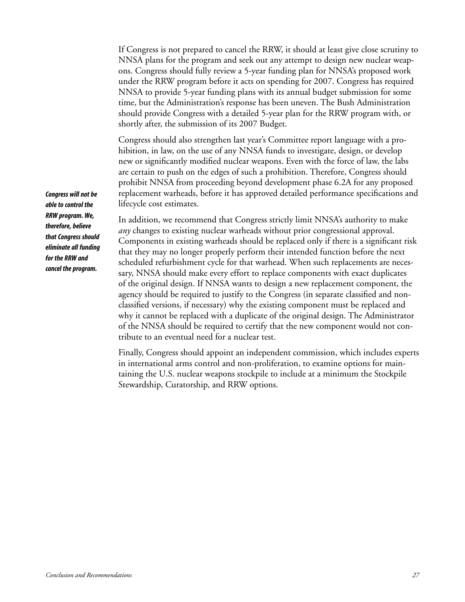If Congress is not prepared to cancel the RRW, it should at least give close scrutiny to NNSA plans for the program and seek out any attempt to design new nuclear weapons. Congress should fully review a 5-year funding plan for NNSA's proposed work under the RRW program before it acts on spending for 2007. Congress has required NNSA to provide 5-year funding plans with its annual budget submission for some time, but the Administration's response has been uneven. The Bush Administration should provide Congress with a detailed 5-year plan for the RRW program with, or shortly after, the submission of its 2007 Budget.

Congress should also strengthen last year's Committee report language with a prohibition, in law, on the use of any NNSA funds to investigate, design, or develop new or significantly modified nuclear weapons. Even with the force of law, the labs are certain to push on the edges of such a prohibition. Therefore, Congress should prohibit NNSA from proceeding beyond development phase 6.2A for any proposed replacement warheads, before it has approved detailed performance specifications and lifecycle cost estimates.

In addition, we recommend that Congress strictly limit NNSA's authority to make *any* changes to existing nuclear warheads without prior congressional approval. Components in existing warheads should be replaced only if there is a significant risk that they may no longer properly perform their intended function before the next scheduled refurbishment cycle for that warhead. When such replacements are necessary, NNSA should make every effort to replace components with exact duplicates of the original design. If NNSA wants to design a new replacement component, the agency should be required to justify to the Congress (in separate classified and nonclassified versions, if necessary) why the existing component must be replaced and why it cannot be replaced with a duplicate of the original design. The Administrator of the NNSA should be required to certify that the new component would not contribute to an eventual need for a nuclear test.

Finally, Congress should appoint an independent commission, which includes experts in international arms control and non-proliferation, to examine options for maintaining the U.S. nuclear weapons stockpile to include at a minimum the Stockpile Stewardship, Curatorship, and RRW options.

*Congress will not be able to control the RRW program. We, therefore, believe that Congress should eliminate all funding for the RRW and cancel the program.*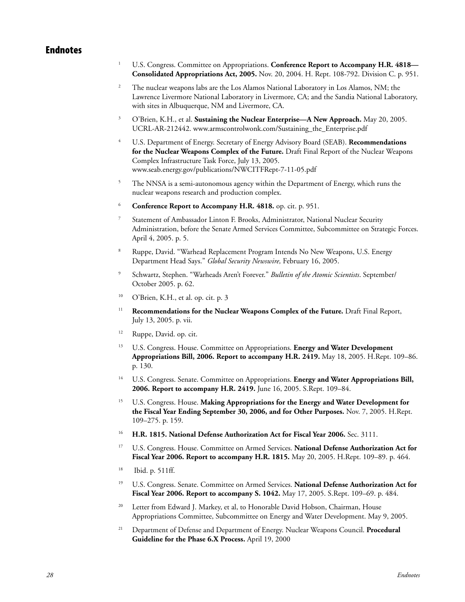### Endnotes

- <sup>1</sup> U.S. Congress. Committee on Appropriations. **Conference Report to Accompany H.R. 4818— Consolidated Appropriations Act, 2005.** Nov. 20, 2004. H. Rept. 108-792. Division C. p. 951.
- <sup>2</sup> The nuclear weapons labs are the Los Alamos National Laboratory in Los Alamos, NM; the Lawrence Livermore National Laboratory in Livermore, CA; and the Sandia National Laboratory, with sites in Albuquerque, NM and Livermore, CA.
- <sup>3</sup> O'Brien, K.H., et al. **Sustaining the Nuclear Enterprise—A New Approach.** May 20, 2005. UCRL-AR-212442. www.armscontrolwonk.com/Sustaining\_the\_Enterprise.pdf
- <sup>4</sup> U.S. Department of Energy. Secretary of Energy Advisory Board (SEAB). **Recommendations for the Nuclear Weapons Complex of the Future.** Draft Final Report of the Nuclear Weapons Complex Infrastructure Task Force, July 13, 2005. www.seab.energy.gov/publications/NWCITFRept-7-11-05.pdf
- <sup>5</sup> The NNSA is a semi-autonomous agency within the Department of Energy, which runs the nuclear weapons research and production complex.
- <sup>6</sup> **Conference Report to Accompany H.R. 4818.** op. cit. p. 951.
- <sup>7</sup> Statement of Ambassador Linton F. Brooks, Administrator, National Nuclear Security Administration, before the Senate Armed Services Committee, Subcommittee on Strategic Forces. April 4, 2005. p. 5.
- <sup>8</sup> Ruppe, David. "Warhead Replacement Program Intends No New Weapons, U.S. Energy Department Head Says." *Global Security Newswire,* February 16, 2005.
- <sup>9</sup> Schwartz, Stephen. "Warheads Aren't Forever." *Bulletin of the Atomic Scientists*. September/ October 2005. p. 62.
- <sup>10</sup> O'Brien, K.H., et al. op. cit. p. 3
- <sup>11</sup> **Recommendations for the Nuclear Weapons Complex of the Future.** Draft Final Report, July 13, 2005. p. vii.
- <sup>12</sup> Ruppe, David. op. cit.
- <sup>13</sup> U.S. Congress. House. Committee on Appropriations. **Energy and Water Development Appropriations Bill, 2006. Report to accompany H.R. 2419.** May 18, 2005. H.Rept. 109–86. p. 130.
- <sup>14</sup> U.S. Congress. Senate. Committee on Appropriations. Energy and Water Appropriations Bill, **2006. Report to accompany H.R. 2419.** June 16, 2005. S.Rept. 109–84.
- <sup>15</sup> U.S. Congress. House. **Making Appropriations for the Energy and Water Development for the Fiscal Year Ending September 30, 2006, and for Other Purposes.** Nov. 7, 2005. H.Rept. 109–275. p. 159.
- <sup>16</sup> **H.R. 1815. National Defense Authorization Act for Fiscal Year 2006.** Sec. 3111.
- <sup>17</sup> U.S. Congress. House. Committee on Armed Services. **National Defense Authorization Act for Fiscal Year 2006. Report to accompany H.R. 1815.** May 20, 2005. H.Rept. 109–89. p. 464.
- 18 Ibid. p. 511ff.
- <sup>19</sup> U.S. Congress. Senate. Committee on Armed Services. **National Defense Authorization Act for Fiscal Year 2006. Report to accompany S. 1042.** May 17, 2005. S.Rept. 109–69. p. 484.
- <sup>20</sup> Letter from Edward J. Markey, et al, to Honorable David Hobson, Chairman, House Appropriations Committee, Subcommittee on Energy and Water Development. May 9, 2005.
- <sup>21</sup> Department of Defense and Department of Energy. Nuclear Weapons Council. **Procedural Guideline for the Phase 6.X Process.** April 19, 2000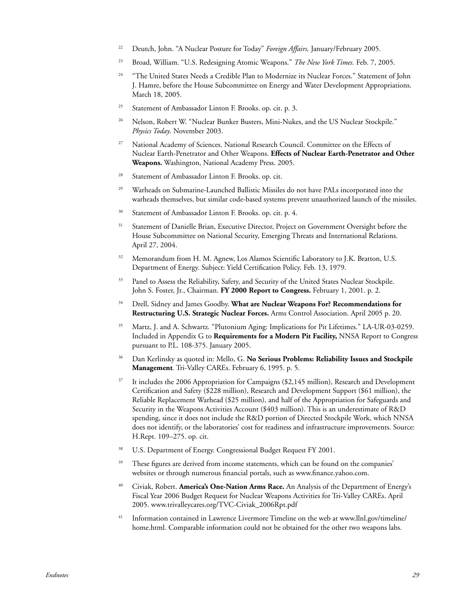- <sup>22</sup> Deutch, John. "A Nuclear Posture for Today" *Foreign Affairs,* January/February 2005.
- <sup>23</sup> Broad, William. "U.S. Redesigning Atomic Weapons." *The New York Times.* Feb. 7, 2005.
- <sup>24</sup> "The United States Needs a Credible Plan to Modernize its Nuclear Forces." Statement of John J. Hamre, before the House Subcommittee on Energy and Water Development Appropriations. March 18, 2005.
- <sup>25</sup> Statement of Ambassador Linton F. Brooks. op. cit. p. 3.
- <sup>26</sup> Nelson, Robert W. "Nuclear Bunker Busters, Mini-Nukes, and the US Nuclear Stockpile." *Physics Today*. November 2003.
- <sup>27</sup> National Academy of Sciences. National Research Council. Committee on the Effects of Nuclear Earth-Penetrator and Other Weapons. **Effects of Nuclear Earth-Penetrator and Other Weapons.** Washington, National Academy Press. 2005.
- <sup>28</sup> Statement of Ambassador Linton F. Brooks. op. cit.
- <sup>29</sup> Warheads on Submarine-Launched Ballistic Missiles do not have PALs incorporated into the warheads themselves, but similar code-based systems prevent unauthorized launch of the missiles.
- <sup>30</sup> Statement of Ambassador Linton F. Brooks. op. cit. p. 4.
- <sup>31</sup> Statement of Danielle Brian, Executive Director, Project on Government Oversight before the House Subcommittee on National Security, Emerging Threats and International Relations. April 27, 2004.
- <sup>32</sup> Memorandum from H. M. Agnew, Los Alamos Scientific Laboratory to J.K. Bratton, U.S. Department of Energy. Subject: Yield Certification Policy. Feb. 13, 1979.
- <sup>33</sup> Panel to Assess the Reliability, Safety, and Security of the United States Nuclear Stockpile. John S. Foster, Jr., Chairman. **FY 2000 Report to Congress.** February 1, 2001. p. 2.
- <sup>34</sup> Drell, Sidney and James Goodby. **What are Nuclear Weapons For? Recommendations for Restructuring U.S. Strategic Nuclear Forces.** Arms Control Association. April 2005 p. 20.
- <sup>35</sup> Martz, J. and A. Schwartz. "Plutonium Aging: Implications for Pit Lifetimes." LA-UR-03-0259. Included in Appendix G to **Requirements for a Modern Pit Facility,** NNSA Report to Congress pursuant to P.L. 108-375. January 2005.
- <sup>36</sup> Dan Kerlinsky as quoted in: Mello, G. **No Serious Problems: Reliability Issues and Stockpile Management***.* Tri-Valley CAREs. February 6, 1995. p. 5.
- <sup>37</sup> It includes the 2006 Appropriation for Campaigns (\$2,145 million), Research and Development Certification and Safety (\$228 million), Research and Development Support (\$61 million), the Reliable Replacement Warhead (\$25 million), and half of the Appropriation for Safeguards and Security in the Weapons Activities Account (\$403 million). This is an underestimate of R&D spending, since it does not include the R&D portion of Directed Stockpile Work, which NNSA does not identify, or the laboratories' cost for readiness and infrastructure improvements. Source: H.Rept. 109–275. op. cit.
- <sup>38</sup> U.S. Department of Energy. Congressional Budget Request FY 2001.
- <sup>39</sup> These figures are derived from income statements, which can be found on the companies' websites or through numerous financial portals, such as www.finance.yahoo.com.
- <sup>40</sup> Civiak, Robert. **America's One-Nation Arms Race.** An Analysis of the Department of Energy's Fiscal Year 2006 Budget Request for Nuclear Weapons Activities for Tri-Valley CAREs. April 2005. www.trivalleycares.org/TVC-Civiak\_2006Rpt.pdf
- <sup>41</sup> Information contained in Lawrence Livermore Timeline on the web at www.llnl.gov/timeline/ home.html. Comparable information could not be obtained for the other two weapons labs.